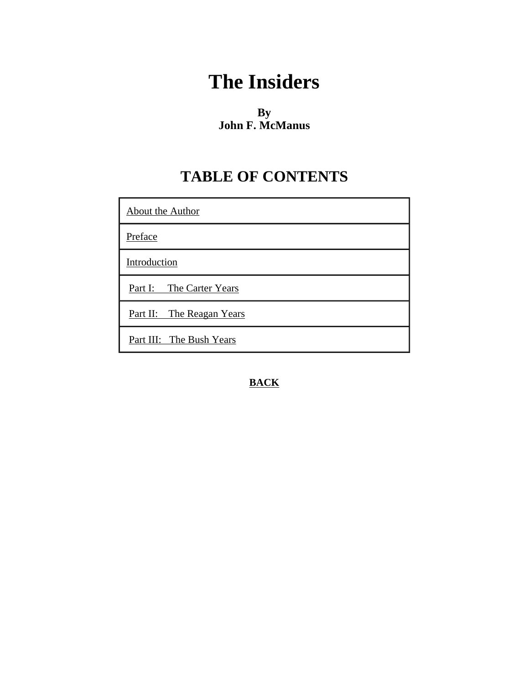# **The Insiders**

**By John F. McManus**

## **TABLE OF CONTENTS**

| About the Author                 |
|----------------------------------|
| Preface                          |
| Introduction                     |
| Part I: The Carter Years         |
| <u>Part II: The Reagan Years</u> |
| Part III: The Bush Years         |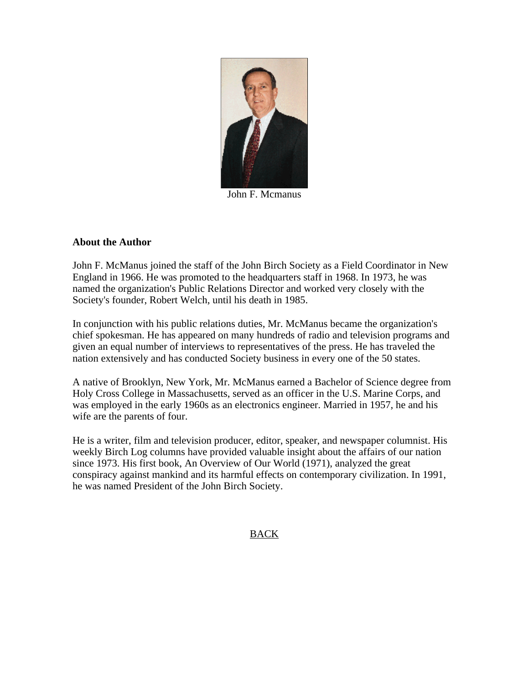

John F. Mcmanus

## **About the Author**

John F. McManus joined the staff of the John Birch Society as a Field Coordinator in New England in 1966. He was promoted to the headquarters staff in 1968. In 1973, he was named the organization's Public Relations Director and worked very closely with the Society's founder, Robert Welch, until his death in 1985.

In conjunction with his public relations duties, Mr. McManus became the organization's chief spokesman. He has appeared on many hundreds of radio and television programs and given an equal number of interviews to representatives of the press. He has traveled the nation extensively and has conducted Society business in every one of the 50 states.

A native of Brooklyn, New York, Mr. McManus earned a Bachelor of Science degree from Holy Cross College in Massachusetts, served as an officer in the U.S. Marine Corps, and was employed in the early 1960s as an electronics engineer. Married in 1957, he and his wife are the parents of four.

He is a writer, film and television producer, editor, speaker, and newspaper columnist. His weekly Birch Log columns have provided valuable insight about the affairs of our nation since 1973. His first book, An Overview of Our World (1971), analyzed the great conspiracy against mankind and its harmful effects on contemporary civilization. In 1991, he was named President of the John Birch Society.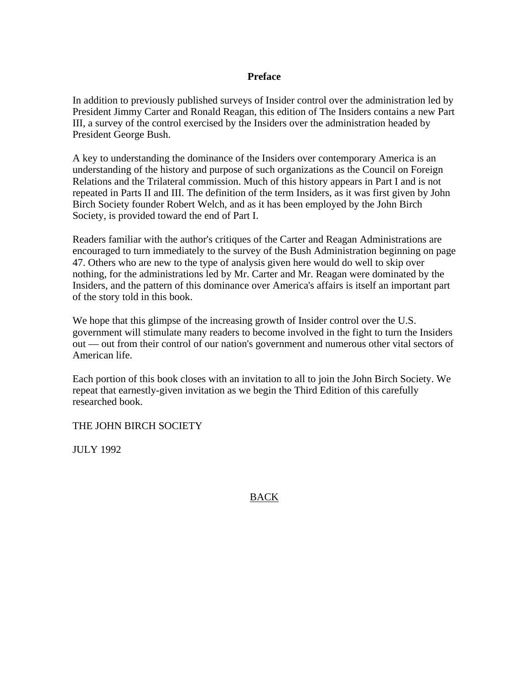## **Preface**

In addition to previously published surveys of Insider control over the administration led by President Jimmy Carter and Ronald Reagan, this edition of The Insiders contains a new Part III, a survey of the control exercised by the Insiders over the administration headed by President George Bush.

A key to understanding the dominance of the Insiders over contemporary America is an understanding of the history and purpose of such organizations as the Council on Foreign Relations and the Trilateral commission. Much of this history appears in Part I and is not repeated in Parts II and III. The definition of the term Insiders, as it was first given by John Birch Society founder Robert Welch, and as it has been employed by the John Birch Society, is provided toward the end of Part I.

Readers familiar with the author's critiques of the Carter and Reagan Administrations are encouraged to turn immediately to the survey of the Bush Administration beginning on page 47. Others who are new to the type of analysis given here would do well to skip over nothing, for the administrations led by Mr. Carter and Mr. Reagan were dominated by the Insiders, and the pattern of this dominance over America's affairs is itself an important part of the story told in this book.

We hope that this glimpse of the increasing growth of Insider control over the U.S. government will stimulate many readers to become involved in the fight to turn the Insiders out — out from their control of our nation's government and numerous other vital sectors of American life.

Each portion of this book closes with an invitation to all to join the John Birch Society. We repeat that earnestly-given invitation as we begin the Third Edition of this carefully researched book.

THE JOHN BIRCH SOCIETY

JULY 1992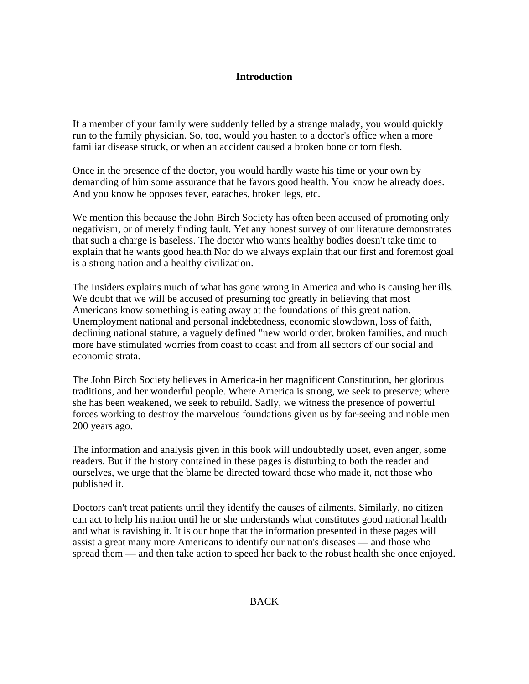## **Introduction**

If a member of your family were suddenly felled by a strange malady, you would quickly run to the family physician. So, too, would you hasten to a doctor's office when a more familiar disease struck, or when an accident caused a broken bone or torn flesh.

Once in the presence of the doctor, you would hardly waste his time or your own by demanding of him some assurance that he favors good health. You know he already does. And you know he opposes fever, earaches, broken legs, etc.

We mention this because the John Birch Society has often been accused of promoting only negativism, or of merely finding fault. Yet any honest survey of our literature demonstrates that such a charge is baseless. The doctor who wants healthy bodies doesn't take time to explain that he wants good health Nor do we always explain that our first and foremost goal is a strong nation and a healthy civilization.

The Insiders explains much of what has gone wrong in America and who is causing her ills. We doubt that we will be accused of presuming too greatly in believing that most Americans know something is eating away at the foundations of this great nation. Unemployment national and personal indebtedness, economic slowdown, loss of faith, declining national stature, a vaguely defined "new world order, broken families, and much more have stimulated worries from coast to coast and from all sectors of our social and economic strata.

The John Birch Society believes in America-in her magnificent Constitution, her glorious traditions, and her wonderful people. Where America is strong, we seek to preserve; where she has been weakened, we seek to rebuild. Sadly, we witness the presence of powerful forces working to destroy the marvelous foundations given us by far-seeing and noble men 200 years ago.

The information and analysis given in this book will undoubtedly upset, even anger, some readers. But if the history contained in these pages is disturbing to both the reader and ourselves, we urge that the blame be directed toward those who made it, not those who published it.

Doctors can't treat patients until they identify the causes of ailments. Similarly, no citizen can act to help his nation until he or she understands what constitutes good national health and what is ravishing it. It is our hope that the information presented in these pages will assist a great many more Americans to identify our nation's diseases — and those who spread them — and then take action to speed her back to the robust health she once enjoyed.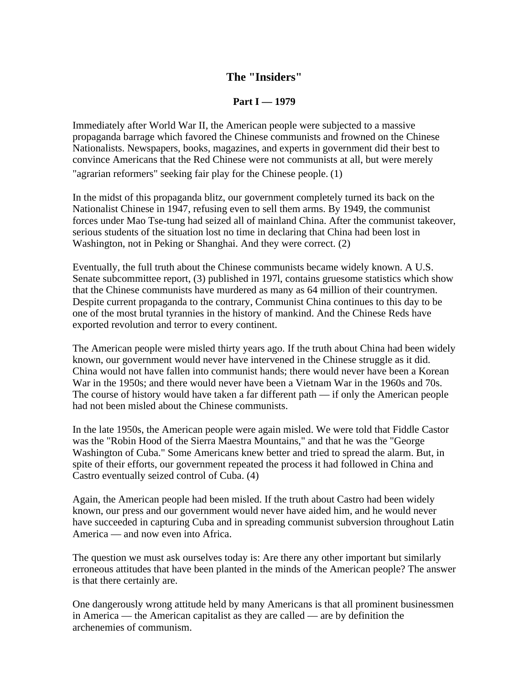## **The "Insiders"**

## **Part I — 1979**

Immediately after World War II, the American people were subjected to a massive propaganda barrage which favored the Chinese communists and frowned on the Chinese Nationalists. Newspapers, books, magazines, and experts in government did their best to convince Americans that the Red Chinese were not communists at all, but were merely "agrarian reformers" seeking fair play for the Chinese people. (1)

In the midst of this propaganda blitz, our government completely turned its back on the Nationalist Chinese in 1947, refusing even to sell them arms. By 1949, the communist forces under Mao Tse-tung had seized all of mainland China. After the communist takeover, serious students of the situation lost no time in declaring that China had been lost in Washington, not in Peking or Shanghai. And they were correct. (2)

Eventually, the full truth about the Chinese communists became widely known. A U.S. Senate subcommittee report, (3) published in 197l, contains gruesome statistics which show that the Chinese communists have murdered as many as 64 million of their countrymen. Despite current propaganda to the contrary, Communist China continues to this day to be one of the most brutal tyrannies in the history of mankind. And the Chinese Reds have exported revolution and terror to every continent.

The American people were misled thirty years ago. If the truth about China had been widely known, our government would never have intervened in the Chinese struggle as it did. China would not have fallen into communist hands; there would never have been a Korean War in the 1950s; and there would never have been a Vietnam War in the 1960s and 70s. The course of history would have taken a far different path — if only the American people had not been misled about the Chinese communists.

In the late 1950s, the American people were again misled. We were told that Fiddle Castor was the "Robin Hood of the Sierra Maestra Mountains," and that he was the "George Washington of Cuba." Some Americans knew better and tried to spread the alarm. But, in spite of their efforts, our government repeated the process it had followed in China and Castro eventually seized control of Cuba. (4)

Again, the American people had been misled. If the truth about Castro had been widely known, our press and our government would never have aided him, and he would never have succeeded in capturing Cuba and in spreading communist subversion throughout Latin America — and now even into Africa.

The question we must ask ourselves today is: Are there any other important but similarly erroneous attitudes that have been planted in the minds of the American people? The answer is that there certainly are.

One dangerously wrong attitude held by many Americans is that all prominent businessmen in America — the American capitalist as they are called — are by definition the archenemies of communism.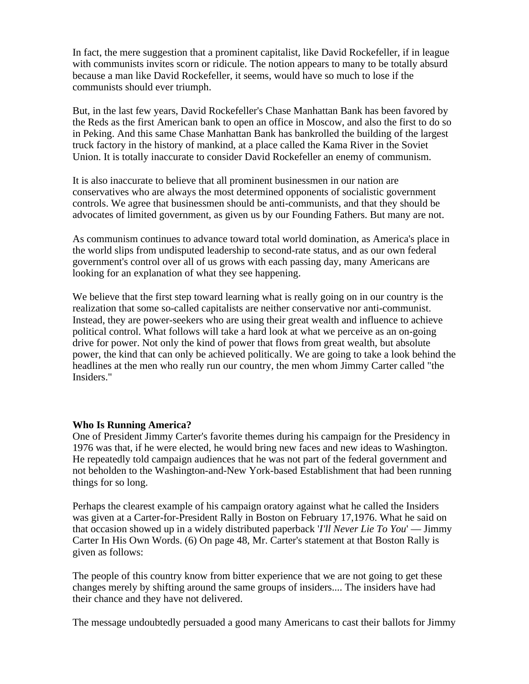In fact, the mere suggestion that a prominent capitalist, like David Rockefeller, if in league with communists invites scorn or ridicule. The notion appears to many to be totally absurd because a man like David Rockefeller, it seems, would have so much to lose if the communists should ever triumph.

But, in the last few years, David Rockefeller's Chase Manhattan Bank has been favored by the Reds as the first American bank to open an office in Moscow, and also the first to do so in Peking. And this same Chase Manhattan Bank has bankrolled the building of the largest truck factory in the history of mankind, at a place called the Kama River in the Soviet Union. It is totally inaccurate to consider David Rockefeller an enemy of communism.

It is also inaccurate to believe that all prominent businessmen in our nation are conservatives who are always the most determined opponents of socialistic government controls. We agree that businessmen should be anti-communists, and that they should be advocates of limited government, as given us by our Founding Fathers. But many are not.

As communism continues to advance toward total world domination, as America's place in the world slips from undisputed leadership to second-rate status, and as our own federal government's control over all of us grows with each passing day, many Americans are looking for an explanation of what they see happening.

We believe that the first step toward learning what is really going on in our country is the realization that some so-called capitalists are neither conservative nor anti-communist. Instead, they are power-seekers who are using their great wealth and influence to achieve political control. What follows will take a hard look at what we perceive as an on-going drive for power. Not only the kind of power that flows from great wealth, but absolute power, the kind that can only be achieved politically. We are going to take a look behind the headlines at the men who really run our country, the men whom Jimmy Carter called "the Insiders."

## **Who Is Running America?**

One of President Jimmy Carter's favorite themes during his campaign for the Presidency in 1976 was that, if he were elected, he would bring new faces and new ideas to Washington. He repeatedly told campaign audiences that he was not part of the federal government and not beholden to the Washington-and-New York-based Establishment that had been running things for so long.

Perhaps the clearest example of his campaign oratory against what he called the Insiders was given at a Carter-for-President Rally in Boston on February 17,1976. What he said on that occasion showed up in a widely distributed paperback '*I'll Never Lie To You*' — Jimmy Carter In His Own Words. (6) On page 48, Mr. Carter's statement at that Boston Rally is given as follows:

The people of this country know from bitter experience that we are not going to get these changes merely by shifting around the same groups of insiders.... The insiders have had their chance and they have not delivered.

The message undoubtedly persuaded a good many Americans to cast their ballots for Jimmy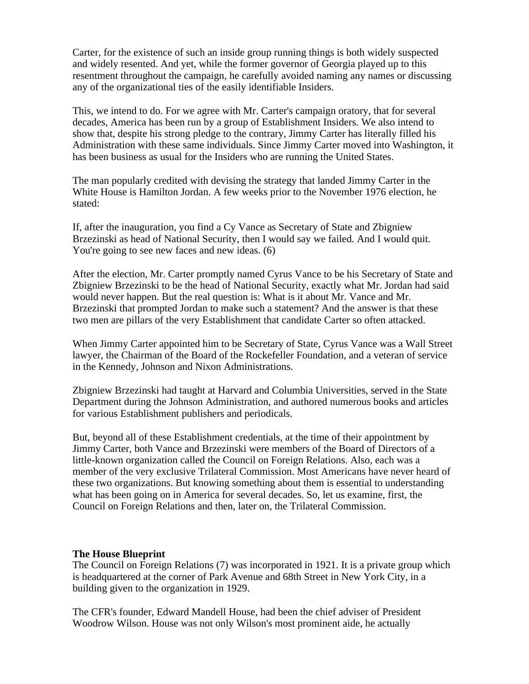Carter, for the existence of such an inside group running things is both widely suspected and widely resented. And yet, while the former governor of Georgia played up to this resentment throughout the campaign, he carefully avoided naming any names or discussing any of the organizational ties of the easily identifiable Insiders.

This, we intend to do. For we agree with Mr. Carter's campaign oratory, that for several decades, America has been run by a group of Establishment Insiders. We also intend to show that, despite his strong pledge to the contrary, Jimmy Carter has literally filled his Administration with these same individuals. Since Jimmy Carter moved into Washington, it has been business as usual for the Insiders who are running the United States.

The man popularly credited with devising the strategy that landed Jimmy Carter in the White House is Hamilton Jordan. A few weeks prior to the November 1976 election, he stated:

If, after the inauguration, you find a Cy Vance as Secretary of State and Zbigniew Brzezinski as head of National Security, then I would say we failed. And I would quit. You're going to see new faces and new ideas. (6)

After the election, Mr. Carter promptly named Cyrus Vance to be his Secretary of State and Zbigniew Brzezinski to be the head of National Security, exactly what Mr. Jordan had said would never happen. But the real question is: What is it about Mr. Vance and Mr. Brzezinski that prompted Jordan to make such a statement? And the answer is that these two men are pillars of the very Establishment that candidate Carter so often attacked.

When Jimmy Carter appointed him to be Secretary of State, Cyrus Vance was a Wall Street lawyer, the Chairman of the Board of the Rockefeller Foundation, and a veteran of service in the Kennedy, Johnson and Nixon Administrations.

Zbigniew Brzezinski had taught at Harvard and Columbia Universities, served in the State Department during the Johnson Administration, and authored numerous books and articles for various Establishment publishers and periodicals.

But, beyond all of these Establishment credentials, at the time of their appointment by Jimmy Carter, both Vance and Brzezinski were members of the Board of Directors of a little-known organization called the Council on Foreign Relations. Also, each was a member of the very exclusive Trilateral Commission. Most Americans have never heard of these two organizations. But knowing something about them is essential to understanding what has been going on in America for several decades. So, let us examine, first, the Council on Foreign Relations and then, later on, the Trilateral Commission.

## **The House Blueprint**

The Council on Foreign Relations (7) was incorporated in 1921. It is a private group which is headquartered at the corner of Park Avenue and 68th Street in New York City, in a building given to the organization in 1929.

The CFR's founder, Edward Mandell House, had been the chief adviser of President Woodrow Wilson. House was not only Wilson's most prominent aide, he actually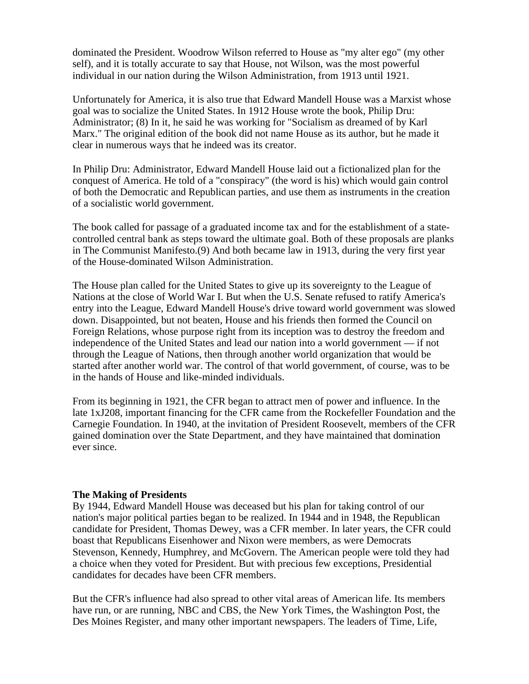dominated the President. Woodrow Wilson referred to House as "my alter ego" (my other self), and it is totally accurate to say that House, not Wilson, was the most powerful individual in our nation during the Wilson Administration, from 1913 until 1921.

Unfortunately for America, it is also true that Edward Mandell House was a Marxist whose goal was to socialize the United States. In 1912 House wrote the book, Philip Dru: Administrator; (8) In it, he said he was working for "Socialism as dreamed of by Karl Marx." The original edition of the book did not name House as its author, but he made it clear in numerous ways that he indeed was its creator.

In Philip Dru: Administrator, Edward Mandell House laid out a fictionalized plan for the conquest of America. He told of a "conspiracy" (the word is his) which would gain control of both the Democratic and Republican parties, and use them as instruments in the creation of a socialistic world government.

The book called for passage of a graduated income tax and for the establishment of a statecontrolled central bank as steps toward the ultimate goal. Both of these proposals are planks in The Communist Manifesto.(9) And both became law in 1913, during the very first year of the House-dominated Wilson Administration.

The House plan called for the United States to give up its sovereignty to the League of Nations at the close of World War I. But when the U.S. Senate refused to ratify America's entry into the League, Edward Mandell House's drive toward world government was slowed down. Disappointed, but not beaten, House and his friends then formed the Council on Foreign Relations, whose purpose right from its inception was to destroy the freedom and independence of the United States and lead our nation into a world government — if not through the League of Nations, then through another world organization that would be started after another world war. The control of that world government, of course, was to be in the hands of House and like-minded individuals.

From its beginning in 1921, the CFR began to attract men of power and influence. In the late 1xJ208, important financing for the CFR came from the Rockefeller Foundation and the Carnegie Foundation. In 1940, at the invitation of President Roosevelt, members of the CFR gained domination over the State Department, and they have maintained that domination ever since.

## **The Making of Presidents**

By 1944, Edward Mandell House was deceased but his plan for taking control of our nation's major political parties began to be realized. In 1944 and in 1948, the Republican candidate for President, Thomas Dewey, was a CFR member. In later years, the CFR could boast that Republicans Eisenhower and Nixon were members, as were Democrats Stevenson, Kennedy, Humphrey, and McGovern. The American people were told they had a choice when they voted for President. But with precious few exceptions, Presidential candidates for decades have been CFR members.

But the CFR's influence had also spread to other vital areas of American life. Its members have run, or are running, NBC and CBS, the New York Times, the Washington Post, the Des Moines Register, and many other important newspapers. The leaders of Time, Life,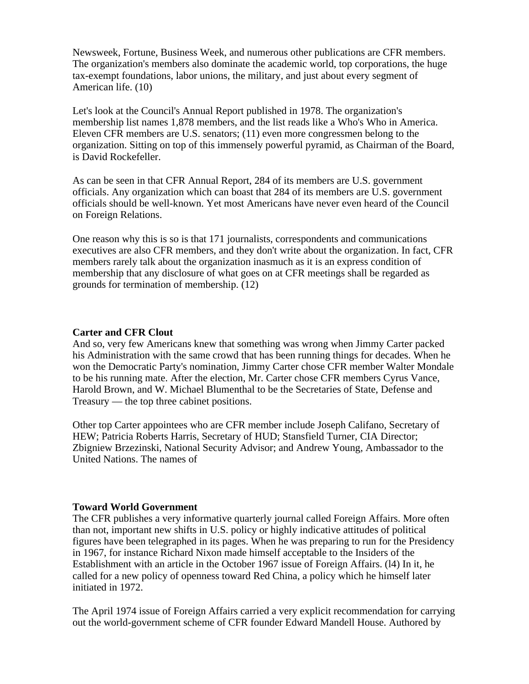Newsweek, Fortune, Business Week, and numerous other publications are CFR members. The organization's members also dominate the academic world, top corporations, the huge tax-exempt foundations, labor unions, the military, and just about every segment of American life. (10)

Let's look at the Council's Annual Report published in 1978. The organization's membership list names 1,878 members, and the list reads like a Who's Who in America. Eleven CFR members are U.S. senators; (11) even more congressmen belong to the organization. Sitting on top of this immensely powerful pyramid, as Chairman of the Board, is David Rockefeller.

As can be seen in that CFR Annual Report, 284 of its members are U.S. government officials. Any organization which can boast that 284 of its members are U.S. government officials should be well-known. Yet most Americans have never even heard of the Council on Foreign Relations.

One reason why this is so is that 171 journalists, correspondents and communications executives are also CFR members, and they don't write about the organization. In fact, CFR members rarely talk about the organization inasmuch as it is an express condition of membership that any disclosure of what goes on at CFR meetings shall be regarded as grounds for termination of membership. (12)

#### **Carter and CFR Clout**

And so, very few Americans knew that something was wrong when Jimmy Carter packed his Administration with the same crowd that has been running things for decades. When he won the Democratic Party's nomination, Jimmy Carter chose CFR member Walter Mondale to be his running mate. After the election, Mr. Carter chose CFR members Cyrus Vance, Harold Brown, and W. Michael Blumenthal to be the Secretaries of State, Defense and Treasury — the top three cabinet positions.

Other top Carter appointees who are CFR member include Joseph Califano, Secretary of HEW; Patricia Roberts Harris, Secretary of HUD; Stansfield Turner, CIA Director; Zbigniew Brzezinski, National Security Advisor; and Andrew Young, Ambassador to the United Nations. The names of

#### **Toward World Government**

The CFR publishes a very informative quarterly journal called Foreign Affairs. More often than not, important new shifts in U.S. policy or highly indicative attitudes of political figures have been telegraphed in its pages. When he was preparing to run for the Presidency in 1967, for instance Richard Nixon made himself acceptable to the Insiders of the Establishment with an article in the October 1967 issue of Foreign Affairs. (l4) In it, he called for a new policy of openness toward Red China, a policy which he himself later initiated in 1972.

The April 1974 issue of Foreign Affairs carried a very explicit recommendation for carrying out the world-government scheme of CFR founder Edward Mandell House. Authored by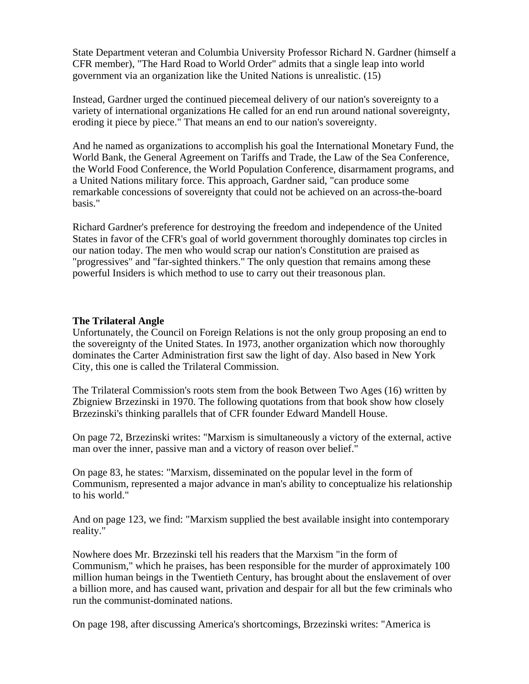State Department veteran and Columbia University Professor Richard N. Gardner (himself a CFR member), "The Hard Road to World Order" admits that a single leap into world government via an organization like the United Nations is unrealistic. (15)

Instead, Gardner urged the continued piecemeal delivery of our nation's sovereignty to a variety of international organizations He called for an end run around national sovereignty, eroding it piece by piece." That means an end to our nation's sovereignty.

And he named as organizations to accomplish his goal the International Monetary Fund, the World Bank, the General Agreement on Tariffs and Trade, the Law of the Sea Conference, the World Food Conference, the World Population Conference, disarmament programs, and a United Nations military force. This approach, Gardner said, "can produce some remarkable concessions of sovereignty that could not be achieved on an across-the-board basis."

Richard Gardner's preference for destroying the freedom and independence of the United States in favor of the CFR's goal of world government thoroughly dominates top circles in our nation today. The men who would scrap our nation's Constitution are praised as "progressives" and "far-sighted thinkers." The only question that remains among these powerful Insiders is which method to use to carry out their treasonous plan.

## **The Trilateral Angle**

Unfortunately, the Council on Foreign Relations is not the only group proposing an end to the sovereignty of the United States. In 1973, another organization which now thoroughly dominates the Carter Administration first saw the light of day. Also based in New York City, this one is called the Trilateral Commission.

The Trilateral Commission's roots stem from the book Between Two Ages (16) written by Zbigniew Brzezinski in 1970. The following quotations from that book show how closely Brzezinski's thinking parallels that of CFR founder Edward Mandell House.

On page 72, Brzezinski writes: "Marxism is simultaneously a victory of the external, active man over the inner, passive man and a victory of reason over belief."

On page 83, he states: "Marxism, disseminated on the popular level in the form of Communism, represented a major advance in man's ability to conceptualize his relationship to his world."

And on page 123, we find: "Marxism supplied the best available insight into contemporary reality."

Nowhere does Mr. Brzezinski tell his readers that the Marxism "in the form of Communism," which he praises, has been responsible for the murder of approximately 100 million human beings in the Twentieth Century, has brought about the enslavement of over a billion more, and has caused want, privation and despair for all but the few criminals who run the communist-dominated nations.

On page 198, after discussing America's shortcomings, Brzezinski writes: "America is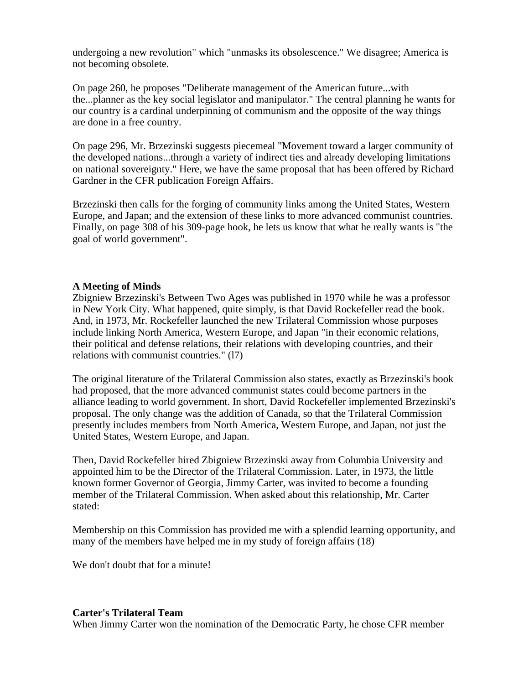undergoing a new revolution" which "unmasks its obsolescence." We disagree; America is not becoming obsolete.

On page 260, he proposes "Deliberate management of the American future...with the...planner as the key social legislator and manipulator." The central planning he wants for our country is a cardinal underpinning of communism and the opposite of the way things are done in a free country.

On page 296, Mr. Brzezinski suggests piecemeal "Movement toward a larger community of the developed nations...through a variety of indirect ties and already developing limitations on national sovereignty." Here, we have the same proposal that has been offered by Richard Gardner in the CFR publication Foreign Affairs.

Brzezinski then calls for the forging of community links among the United States, Western Europe, and Japan; and the extension of these links to more advanced communist countries. Finally, on page 308 of his 309-page hook, he lets us know that what he really wants is "the goal of world government".

## **A Meeting of Minds**

Zbigniew Brzezinski's Between Two Ages was published in 1970 while he was a professor in New York City. What happened, quite simply, is that David Rockefeller read the book. And, in 1973, Mr. Rockefeller launched the new Trilateral Commission whose purposes include linking North America, Western Europe, and Japan "in their economic relations, their political and defense relations, their relations with developing countries, and their relations with communist countries." (l7)

The original literature of the Trilateral Commission also states, exactly as Brzezinski's book had proposed, that the more advanced communist states could become partners in the alliance leading to world government. In short, David Rockefeller implemented Brzezinski's proposal. The only change was the addition of Canada, so that the Trilateral Commission presently includes members from North America, Western Europe, and Japan, not just the United States, Western Europe, and Japan.

Then, David Rockefeller hired Zbigniew Brzezinski away from Columbia University and appointed him to be the Director of the Trilateral Commission. Later, in 1973, the little known former Governor of Georgia, Jimmy Carter, was invited to become a founding member of the Trilateral Commission. When asked about this relationship, Mr. Carter stated:

Membership on this Commission has provided me with a splendid learning opportunity, and many of the members have helped me in my study of foreign affairs (18)

We don't doubt that for a minute!

## **Carter's Trilateral Team**

When Jimmy Carter won the nomination of the Democratic Party, he chose CFR member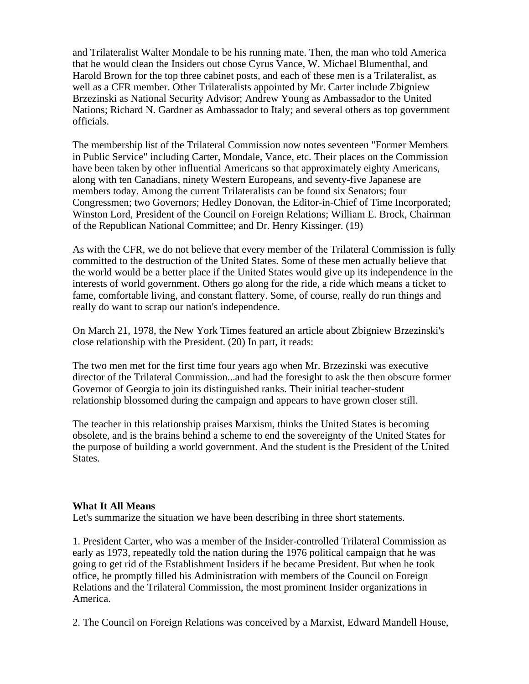and Trilateralist Walter Mondale to be his running mate. Then, the man who told America that he would clean the Insiders out chose Cyrus Vance, W. Michael Blumenthal, and Harold Brown for the top three cabinet posts, and each of these men is a Trilateralist, as well as a CFR member. Other Trilateralists appointed by Mr. Carter include Zbigniew Brzezinski as National Security Advisor; Andrew Young as Ambassador to the United Nations; Richard N. Gardner as Ambassador to Italy; and several others as top government officials.

The membership list of the Trilateral Commission now notes seventeen "Former Members in Public Service" including Carter, Mondale, Vance, etc. Their places on the Commission have been taken by other influential Americans so that approximately eighty Americans, along with ten Canadians, ninety Western Europeans, and seventy-five Japanese are members today. Among the current Trilateralists can be found six Senators; four Congressmen; two Governors; Hedley Donovan, the Editor-in-Chief of Time Incorporated; Winston Lord, President of the Council on Foreign Relations; William E. Brock, Chairman of the Republican National Committee; and Dr. Henry Kissinger. (19)

As with the CFR, we do not believe that every member of the Trilateral Commission is fully committed to the destruction of the United States. Some of these men actually believe that the world would be a better place if the United States would give up its independence in the interests of world government. Others go along for the ride, a ride which means a ticket to fame, comfortable living, and constant flattery. Some, of course, really do run things and really do want to scrap our nation's independence.

On March 21, 1978, the New York Times featured an article about Zbigniew Brzezinski's close relationship with the President. (20) In part, it reads:

The two men met for the first time four years ago when Mr. Brzezinski was executive director of the Trilateral Commission...and had the foresight to ask the then obscure former Governor of Georgia to join its distinguished ranks. Their initial teacher-student relationship blossomed during the campaign and appears to have grown closer still.

The teacher in this relationship praises Marxism, thinks the United States is becoming obsolete, and is the brains behind a scheme to end the sovereignty of the United States for the purpose of building a world government. And the student is the President of the United States.

## **What It All Means**

Let's summarize the situation we have been describing in three short statements.

1. President Carter, who was a member of the Insider-controlled Trilateral Commission as early as 1973, repeatedly told the nation during the 1976 political campaign that he was going to get rid of the Establishment Insiders if he became President. But when he took office, he promptly filled his Administration with members of the Council on Foreign Relations and the Trilateral Commission, the most prominent Insider organizations in America.

2. The Council on Foreign Relations was conceived by a Marxist, Edward Mandell House,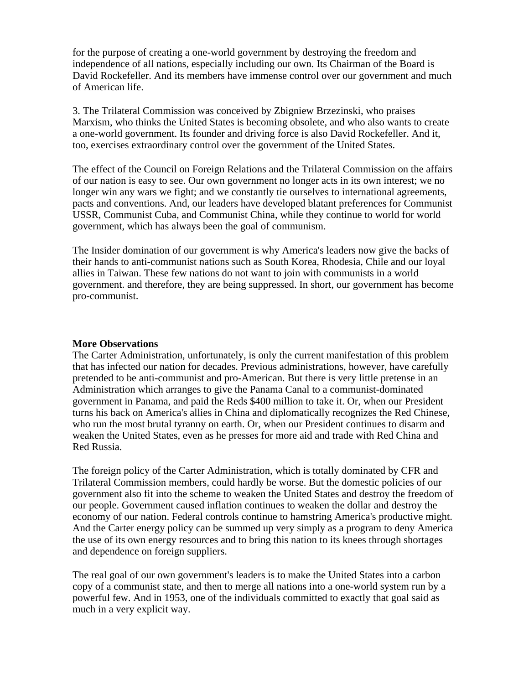for the purpose of creating a one-world government by destroying the freedom and independence of all nations, especially including our own. Its Chairman of the Board is David Rockefeller. And its members have immense control over our government and much of American life.

3. The Trilateral Commission was conceived by Zbigniew Brzezinski, who praises Marxism, who thinks the United States is becoming obsolete, and who also wants to create a one-world government. Its founder and driving force is also David Rockefeller. And it, too, exercises extraordinary control over the government of the United States.

The effect of the Council on Foreign Relations and the Trilateral Commission on the affairs of our nation is easy to see. Our own government no longer acts in its own interest; we no longer win any wars we fight; and we constantly tie ourselves to international agreements, pacts and conventions. And, our leaders have developed blatant preferences for Communist USSR, Communist Cuba, and Communist China, while they continue to world for world government, which has always been the goal of communism.

The Insider domination of our government is why America's leaders now give the backs of their hands to anti-communist nations such as South Korea, Rhodesia, Chile and our loyal allies in Taiwan. These few nations do not want to join with communists in a world government. and therefore, they are being suppressed. In short, our government has become pro-communist.

## **More Observations**

The Carter Administration, unfortunately, is only the current manifestation of this problem that has infected our nation for decades. Previous administrations, however, have carefully pretended to be anti-communist and pro-American. But there is very little pretense in an Administration which arranges to give the Panama Canal to a communist-dominated government in Panama, and paid the Reds \$400 million to take it. Or, when our President turns his back on America's allies in China and diplomatically recognizes the Red Chinese, who run the most brutal tyranny on earth. Or, when our President continues to disarm and weaken the United States, even as he presses for more aid and trade with Red China and Red Russia.

The foreign policy of the Carter Administration, which is totally dominated by CFR and Trilateral Commission members, could hardly be worse. But the domestic policies of our government also fit into the scheme to weaken the United States and destroy the freedom of our people. Government caused inflation continues to weaken the dollar and destroy the economy of our nation. Federal controls continue to hamstring America's productive might. And the Carter energy policy can be summed up very simply as a program to deny America the use of its own energy resources and to bring this nation to its knees through shortages and dependence on foreign suppliers.

The real goal of our own government's leaders is to make the United States into a carbon copy of a communist state, and then to merge all nations into a one-world system run by a powerful few. And in 1953, one of the individuals committed to exactly that goal said as much in a very explicit way.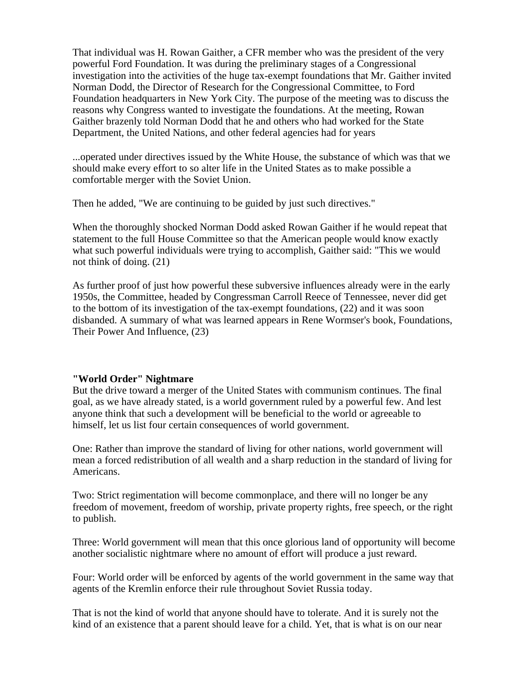That individual was H. Rowan Gaither, a CFR member who was the president of the very powerful Ford Foundation. It was during the preliminary stages of a Congressional investigation into the activities of the huge tax-exempt foundations that Mr. Gaither invited Norman Dodd, the Director of Research for the Congressional Committee, to Ford Foundation headquarters in New York City. The purpose of the meeting was to discuss the reasons why Congress wanted to investigate the foundations. At the meeting, Rowan Gaither brazenly told Norman Dodd that he and others who had worked for the State Department, the United Nations, and other federal agencies had for years

...operated under directives issued by the White House, the substance of which was that we should make every effort to so alter life in the United States as to make possible a comfortable merger with the Soviet Union.

Then he added, "We are continuing to be guided by just such directives."

When the thoroughly shocked Norman Dodd asked Rowan Gaither if he would repeat that statement to the full House Committee so that the American people would know exactly what such powerful individuals were trying to accomplish, Gaither said: "This we would not think of doing. (21)

As further proof of just how powerful these subversive influences already were in the early 1950s, the Committee, headed by Congressman Carroll Reece of Tennessee, never did get to the bottom of its investigation of the tax-exempt foundations, (22) and it was soon disbanded. A summary of what was learned appears in Rene Wormser's book, Foundations, Their Power And Influence, (23)

## **"World Order" Nightmare**

But the drive toward a merger of the United States with communism continues. The final goal, as we have already stated, is a world government ruled by a powerful few. And lest anyone think that such a development will be beneficial to the world or agreeable to himself, let us list four certain consequences of world government.

One: Rather than improve the standard of living for other nations, world government will mean a forced redistribution of all wealth and a sharp reduction in the standard of living for Americans.

Two: Strict regimentation will become commonplace, and there will no longer be any freedom of movement, freedom of worship, private property rights, free speech, or the right to publish.

Three: World government will mean that this once glorious land of opportunity will become another socialistic nightmare where no amount of effort will produce a just reward.

Four: World order will be enforced by agents of the world government in the same way that agents of the Kremlin enforce their rule throughout Soviet Russia today.

That is not the kind of world that anyone should have to tolerate. And it is surely not the kind of an existence that a parent should leave for a child. Yet, that is what is on our near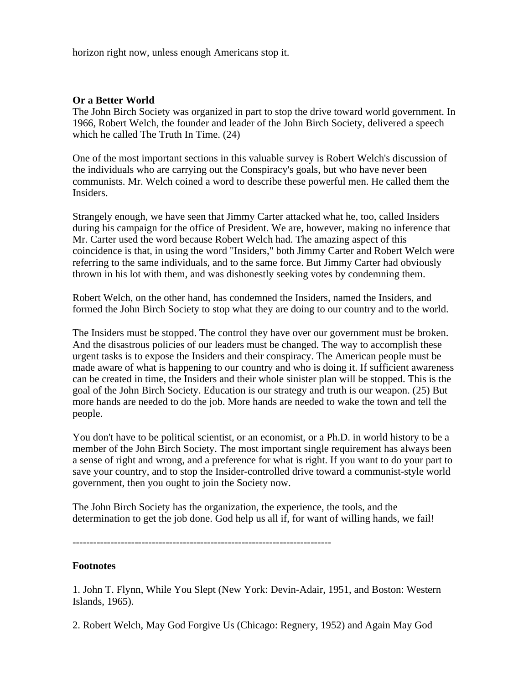horizon right now, unless enough Americans stop it.

## **Or a Better World**

The John Birch Society was organized in part to stop the drive toward world government. In 1966, Robert Welch, the founder and leader of the John Birch Society, delivered a speech which he called The Truth In Time. (24)

One of the most important sections in this valuable survey is Robert Welch's discussion of the individuals who are carrying out the Conspiracy's goals, but who have never been communists. Mr. Welch coined a word to describe these powerful men. He called them the Insiders.

Strangely enough, we have seen that Jimmy Carter attacked what he, too, called Insiders during his campaign for the office of President. We are, however, making no inference that Mr. Carter used the word because Robert Welch had. The amazing aspect of this coincidence is that, in using the word "Insiders," both Jimmy Carter and Robert Welch were referring to the same individuals, and to the same force. But Jimmy Carter had obviously thrown in his lot with them, and was dishonestly seeking votes by condemning them.

Robert Welch, on the other hand, has condemned the Insiders, named the Insiders, and formed the John Birch Society to stop what they are doing to our country and to the world.

The Insiders must be stopped. The control they have over our government must be broken. And the disastrous policies of our leaders must be changed. The way to accomplish these urgent tasks is to expose the Insiders and their conspiracy. The American people must be made aware of what is happening to our country and who is doing it. If sufficient awareness can be created in time, the Insiders and their whole sinister plan will be stopped. This is the goal of the John Birch Society. Education is our strategy and truth is our weapon. (25) But more hands are needed to do the job. More hands are needed to wake the town and tell the people.

You don't have to be political scientist, or an economist, or a Ph.D. in world history to be a member of the John Birch Society. The most important single requirement has always been a sense of right and wrong, and a preference for what is right. If you want to do your part to save your country, and to stop the Insider-controlled drive toward a communist-style world government, then you ought to join the Society now.

The John Birch Society has the organization, the experience, the tools, and the determination to get the job done. God help us all if, for want of willing hands, we fail!

---------------------------------------------------------------------------

## **Footnotes**

1. John T. Flynn, While You Slept (New York: Devin-Adair, 1951, and Boston: Western Islands, 1965).

2. Robert Welch, May God Forgive Us (Chicago: Regnery, 1952) and Again May God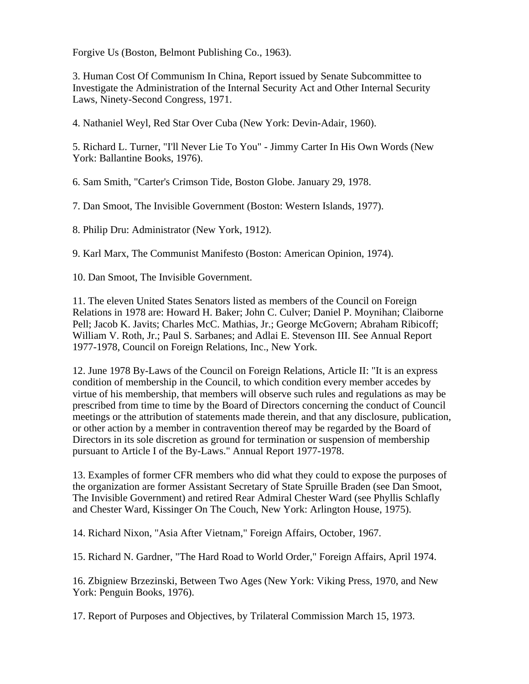Forgive Us (Boston, Belmont Publishing Co., 1963).

3. Human Cost Of Communism In China, Report issued by Senate Subcommittee to Investigate the Administration of the Internal Security Act and Other Internal Security Laws, Ninety-Second Congress, 1971.

4. Nathaniel Weyl, Red Star Over Cuba (New York: Devin-Adair, 1960).

5. Richard L. Turner, "I'll Never Lie To You" - Jimmy Carter In His Own Words (New York: Ballantine Books, 1976).

6. Sam Smith, "Carter's Crimson Tide, Boston Globe. January 29, 1978.

7. Dan Smoot, The Invisible Government (Boston: Western Islands, 1977).

8. Philip Dru: Administrator (New York, 1912).

9. Karl Marx, The Communist Manifesto (Boston: American Opinion, 1974).

10. Dan Smoot, The Invisible Government.

11. The eleven United States Senators listed as members of the Council on Foreign Relations in 1978 are: Howard H. Baker; John C. Culver; Daniel P. Moynihan; Claiborne Pell; Jacob K. Javits; Charles McC. Mathias, Jr.; George McGovern; Abraham Ribicoff; William V. Roth, Jr.; Paul S. Sarbanes; and Adlai E. Stevenson III. See Annual Report 1977-1978, Council on Foreign Relations, Inc., New York.

12. June 1978 By-Laws of the Council on Foreign Relations, Article II: "It is an express condition of membership in the Council, to which condition every member accedes by virtue of his membership, that members will observe such rules and regulations as may be prescribed from time to time by the Board of Directors concerning the conduct of Council meetings or the attribution of statements made therein, and that any disclosure, publication, or other action by a member in contravention thereof may be regarded by the Board of Directors in its sole discretion as ground for termination or suspension of membership pursuant to Article I of the By-Laws." Annual Report 1977-1978.

13. Examples of former CFR members who did what they could to expose the purposes of the organization are former Assistant Secretary of State Spruille Braden (see Dan Smoot, The Invisible Government) and retired Rear Admiral Chester Ward (see Phyllis Schlafly and Chester Ward, Kissinger On The Couch, New York: Arlington House, 1975).

14. Richard Nixon, "Asia After Vietnam," Foreign Affairs, October, 1967.

15. Richard N. Gardner, "The Hard Road to World Order," Foreign Affairs, April 1974.

16. Zbigniew Brzezinski, Between Two Ages (New York: Viking Press, 1970, and New York: Penguin Books, 1976).

17. Report of Purposes and Objectives, by Trilateral Commission March 15, 1973.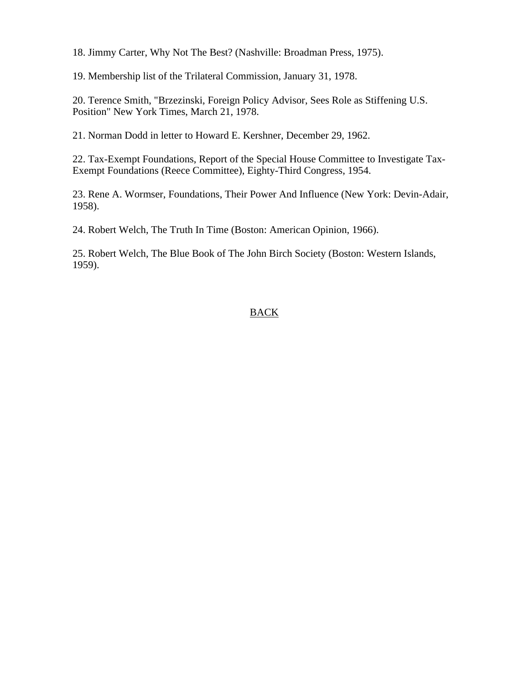18. Jimmy Carter, Why Not The Best? (Nashville: Broadman Press, 1975).

19. Membership list of the Trilateral Commission, January 31, 1978.

20. Terence Smith, "Brzezinski, Foreign Policy Advisor, Sees Role as Stiffening U.S. Position" New York Times, March 21, 1978.

21. Norman Dodd in letter to Howard E. Kershner, December 29, 1962.

22. Tax-Exempt Foundations, Report of the Special House Committee to Investigate Tax-Exempt Foundations (Reece Committee), Eighty-Third Congress, 1954.

23. Rene A. Wormser, Foundations, Their Power And Influence (New York: Devin-Adair, 1958).

24. Robert Welch, The Truth In Time (Boston: American Opinion, 1966).

25. Robert Welch, The Blue Book of The John Birch Society (Boston: Western Islands, 1959).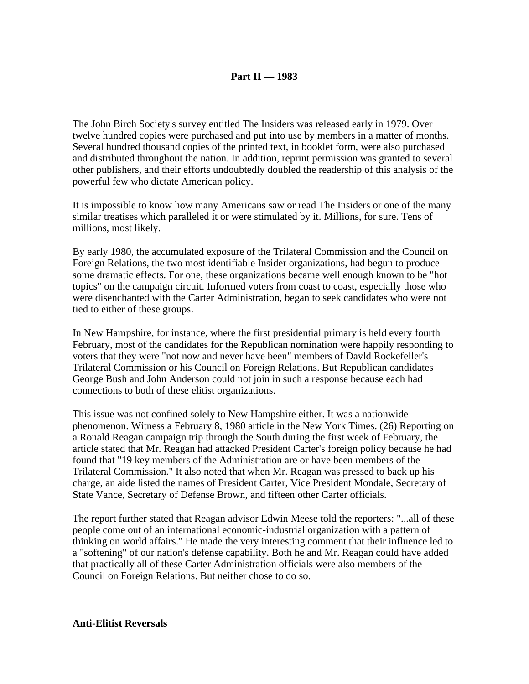The John Birch Society's survey entitled The Insiders was released early in 1979. Over twelve hundred copies were purchased and put into use by members in a matter of months. Several hundred thousand copies of the printed text, in booklet form, were also purchased and distributed throughout the nation. In addition, reprint permission was granted to several other publishers, and their efforts undoubtedly doubled the readership of this analysis of the powerful few who dictate American policy.

It is impossible to know how many Americans saw or read The Insiders or one of the many similar treatises which paralleled it or were stimulated by it. Millions, for sure. Tens of millions, most likely.

By early 1980, the accumulated exposure of the Trilateral Commission and the Council on Foreign Relations, the two most identifiable Insider organizations, had begun to produce some dramatic effects. For one, these organizations became well enough known to be "hot topics" on the campaign circuit. Informed voters from coast to coast, especially those who were disenchanted with the Carter Administration, began to seek candidates who were not tied to either of these groups.

In New Hampshire, for instance, where the first presidential primary is held every fourth February, most of the candidates for the Republican nomination were happily responding to voters that they were "not now and never have been" members of Davld Rockefeller's Trilateral Commission or his Council on Foreign Relations. But Republican candidates George Bush and John Anderson could not join in such a response because each had connections to both of these elitist organizations.

This issue was not confined solely to New Hampshire either. It was a nationwide phenomenon. Witness a February 8, 1980 article in the New York Times. (26) Reporting on a Ronald Reagan campaign trip through the South during the first week of February, the article stated that Mr. Reagan had attacked President Carter's foreign policy because he had found that "19 key members of the Administration are or have been members of the Trilateral Commission." It also noted that when Mr. Reagan was pressed to back up his charge, an aide listed the names of President Carter, Vice President Mondale, Secretary of State Vance, Secretary of Defense Brown, and fifteen other Carter officials.

The report further stated that Reagan advisor Edwin Meese told the reporters: "...all of these people come out of an international economic-industrial organization with a pattern of thinking on world affairs." He made the very interesting comment that their influence led to a "softening" of our nation's defense capability. Both he and Mr. Reagan could have added that practically all of these Carter Administration officials were also members of the Council on Foreign Relations. But neither chose to do so.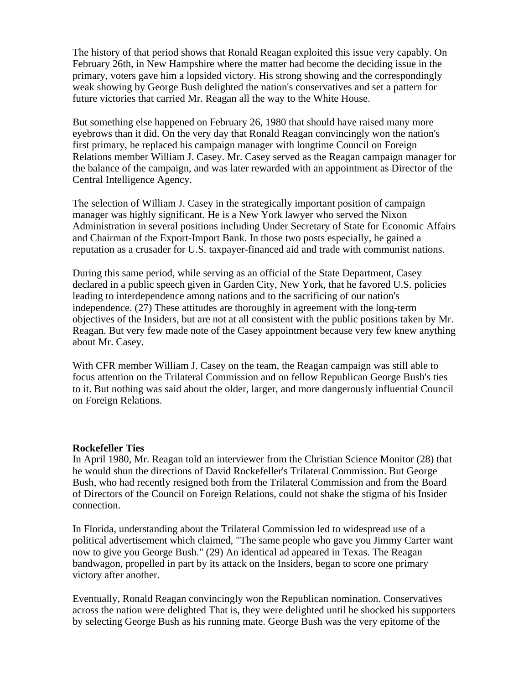The history of that period shows that Ronald Reagan exploited this issue very capably. On February 26th, in New Hampshire where the matter had become the deciding issue in the primary, voters gave him a lopsided victory. His strong showing and the correspondingly weak showing by George Bush delighted the nation's conservatives and set a pattern for future victories that carried Mr. Reagan all the way to the White House.

But something else happened on February 26, 1980 that should have raised many more eyebrows than it did. On the very day that Ronald Reagan convincingly won the nation's first primary, he replaced his campaign manager with longtime Council on Foreign Relations member William J. Casey. Mr. Casey served as the Reagan campaign manager for the balance of the campaign, and was later rewarded with an appointment as Director of the Central Intelligence Agency.

The selection of William J. Casey in the strategically important position of campaign manager was highly significant. He is a New York lawyer who served the Nixon Administration in several positions including Under Secretary of State for Economic Affairs and Chairman of the Export-Import Bank. In those two posts especially, he gained a reputation as a crusader for U.S. taxpayer-financed aid and trade with communist nations.

During this same period, while serving as an official of the State Department, Casey declared in a public speech given in Garden City, New York, that he favored U.S. policies leading to interdependence among nations and to the sacrificing of our nation's independence. (27) These attitudes are thoroughly in agreement with the long-term objectives of the Insiders, but are not at all consistent with the public positions taken by Mr. Reagan. But very few made note of the Casey appointment because very few knew anything about Mr. Casey.

With CFR member William J. Casey on the team, the Reagan campaign was still able to focus attention on the Trilateral Commission and on fellow Republican George Bush's ties to it. But nothing was said about the older, larger, and more dangerously influential Council on Foreign Relations.

## **Rockefeller Ties**

In April 1980, Mr. Reagan told an interviewer from the Christian Science Monitor (28) that he would shun the directions of David Rockefeller's Trilateral Commission. But George Bush, who had recently resigned both from the Trilateral Commission and from the Board of Directors of the Council on Foreign Relations, could not shake the stigma of his Insider connection.

In Florida, understanding about the Trilateral Commission led to widespread use of a political advertisement which claimed, "The same people who gave you Jimmy Carter want now to give you George Bush." (29) An identical ad appeared in Texas. The Reagan bandwagon, propelled in part by its attack on the Insiders, began to score one primary victory after another.

Eventually, Ronald Reagan convincingly won the Republican nomination. Conservatives across the nation were delighted That is, they were delighted until he shocked his supporters by selecting George Bush as his running mate. George Bush was the very epitome of the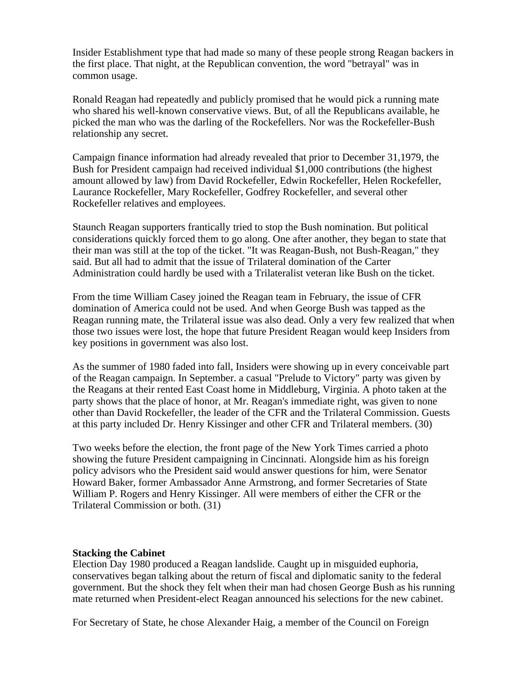Insider Establishment type that had made so many of these people strong Reagan backers in the first place. That night, at the Republican convention, the word "betrayal" was in common usage.

Ronald Reagan had repeatedly and publicly promised that he would pick a running mate who shared his well-known conservative views. But, of all the Republicans available, he picked the man who was the darling of the Rockefellers. Nor was the Rockefeller-Bush relationship any secret.

Campaign finance information had already revealed that prior to December 31,1979, the Bush for President campaign had received individual \$1,000 contributions (the highest amount allowed by law) from David Rockefeller, Edwin Rockefeller, Helen Rockefeller, Laurance Rockefeller, Mary Rockefeller, Godfrey Rockefeller, and several other Rockefeller relatives and employees.

Staunch Reagan supporters frantically tried to stop the Bush nomination. But political considerations quickly forced them to go along. One after another, they began to state that their man was still at the top of the ticket. "It was Reagan-Bush, not Bush-Reagan," they said. But all had to admit that the issue of Trilateral domination of the Carter Administration could hardly be used with a Trilateralist veteran like Bush on the ticket.

From the time William Casey joined the Reagan team in February, the issue of CFR domination of America could not be used. And when George Bush was tapped as the Reagan running mate, the Trilateral issue was also dead. Only a very few realized that when those two issues were lost, the hope that future President Reagan would keep Insiders from key positions in government was also lost.

As the summer of 1980 faded into fall, Insiders were showing up in every conceivable part of the Reagan campaign. In September. a casual "Prelude to Victory" party was given by the Reagans at their rented East Coast home in Middleburg, Virginia. A photo taken at the party shows that the place of honor, at Mr. Reagan's immediate right, was given to none other than David Rockefeller, the leader of the CFR and the Trilateral Commission. Guests at this party included Dr. Henry Kissinger and other CFR and Trilateral members. (30)

Two weeks before the election, the front page of the New York Times carried a photo showing the future President campaigning in Cincinnati. Alongside him as his foreign policy advisors who the President said would answer questions for him, were Senator Howard Baker, former Ambassador Anne Armstrong, and former Secretaries of State William P. Rogers and Henry Kissinger. All were members of either the CFR or the Trilateral Commission or both. (31)

## **Stacking the Cabinet**

Election Day 1980 produced a Reagan landslide. Caught up in misguided euphoria, conservatives began talking about the return of fiscal and diplomatic sanity to the federal government. But the shock they felt when their man had chosen George Bush as his running mate returned when President-elect Reagan announced his selections for the new cabinet.

For Secretary of State, he chose Alexander Haig, a member of the Council on Foreign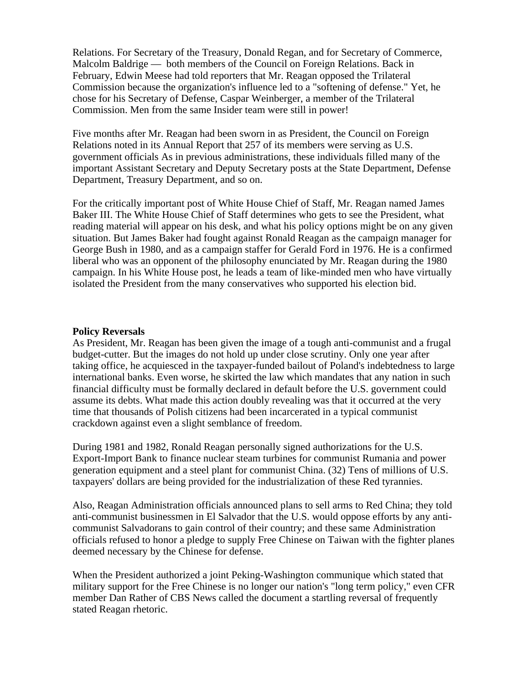Relations. For Secretary of the Treasury, Donald Regan, and for Secretary of Commerce, Malcolm Baldrige — both members of the Council on Foreign Relations. Back in February, Edwin Meese had told reporters that Mr. Reagan opposed the Trilateral Commission because the organization's influence led to a "softening of defense." Yet, he chose for his Secretary of Defense, Caspar Weinberger, a member of the Trilateral Commission. Men from the same Insider team were still in power!

Five months after Mr. Reagan had been sworn in as President, the Council on Foreign Relations noted in its Annual Report that 257 of its members were serving as U.S. government officials As in previous administrations, these individuals filled many of the important Assistant Secretary and Deputy Secretary posts at the State Department, Defense Department, Treasury Department, and so on.

For the critically important post of White House Chief of Staff, Mr. Reagan named James Baker III. The White House Chief of Staff determines who gets to see the President, what reading material will appear on his desk, and what his policy options might be on any given situation. But James Baker had fought against Ronald Reagan as the campaign manager for George Bush in 1980, and as a campaign staffer for Gerald Ford in 1976. He is a confirmed liberal who was an opponent of the philosophy enunciated by Mr. Reagan during the 1980 campaign. In his White House post, he leads a team of like-minded men who have virtually isolated the President from the many conservatives who supported his election bid.

#### **Policy Reversals**

As President, Mr. Reagan has been given the image of a tough anti-communist and a frugal budget-cutter. But the images do not hold up under close scrutiny. Only one year after taking office, he acquiesced in the taxpayer-funded bailout of Poland's indebtedness to large international banks. Even worse, he skirted the law which mandates that any nation in such financial difficulty must be formally declared in default before the U.S. government could assume its debts. What made this action doubly revealing was that it occurred at the very time that thousands of Polish citizens had been incarcerated in a typical communist crackdown against even a slight semblance of freedom.

During 1981 and 1982, Ronald Reagan personally signed authorizations for the U.S. Export-Import Bank to finance nuclear steam turbines for communist Rumania and power generation equipment and a steel plant for communist China. (32) Tens of millions of U.S. taxpayers' dollars are being provided for the industrialization of these Red tyrannies.

Also, Reagan Administration officials announced plans to sell arms to Red China; they told anti-communist businessmen in El Salvador that the U.S. would oppose efforts by any anticommunist Salvadorans to gain control of their country; and these same Administration officials refused to honor a pledge to supply Free Chinese on Taiwan with the fighter planes deemed necessary by the Chinese for defense.

When the President authorized a joint Peking-Washington communique which stated that military support for the Free Chinese is no longer our nation's "long term policy," even CFR member Dan Rather of CBS News called the document a startling reversal of frequently stated Reagan rhetoric.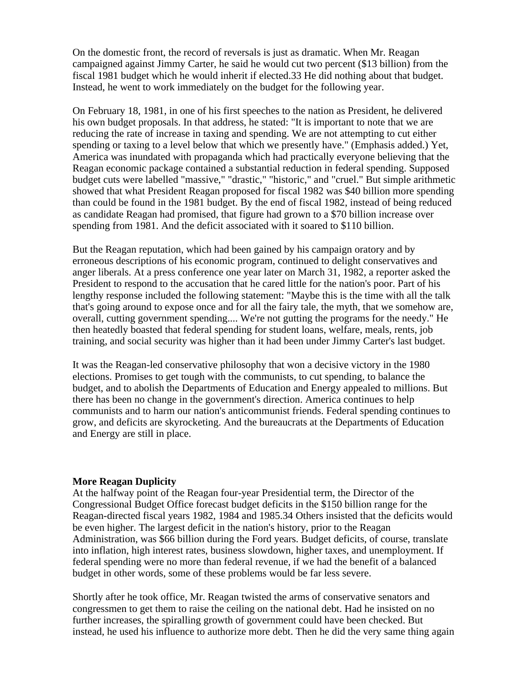On the domestic front, the record of reversals is just as dramatic. When Mr. Reagan campaigned against Jimmy Carter, he said he would cut two percent (\$13 billion) from the fiscal 1981 budget which he would inherit if elected.33 He did nothing about that budget. Instead, he went to work immediately on the budget for the following year.

On February 18, 1981, in one of his first speeches to the nation as President, he delivered his own budget proposals. In that address, he stated: "It is important to note that we are reducing the rate of increase in taxing and spending. We are not attempting to cut either spending or taxing to a level below that which we presently have." (Emphasis added.) Yet, America was inundated with propaganda which had practically everyone believing that the Reagan economic package contained a substantial reduction in federal spending. Supposed budget cuts were labelled "massive," "drastic," "historic," and "cruel." But simple arithmetic showed that what President Reagan proposed for fiscal 1982 was \$40 billion more spending than could be found in the 1981 budget. By the end of fiscal 1982, instead of being reduced as candidate Reagan had promised, that figure had grown to a \$70 billion increase over spending from 1981. And the deficit associated with it soared to \$110 billion.

But the Reagan reputation, which had been gained by his campaign oratory and by erroneous descriptions of his economic program, continued to delight conservatives and anger liberals. At a press conference one year later on March 31, 1982, a reporter asked the President to respond to the accusation that he cared little for the nation's poor. Part of his lengthy response included the following statement: "Maybe this is the time with all the talk that's going around to expose once and for all the fairy tale, the myth, that we somehow are, overall, cutting government spending.... We're not gutting the programs for the needy." He then heatedly boasted that federal spending for student loans, welfare, meals, rents, job training, and social security was higher than it had been under Jimmy Carter's last budget.

It was the Reagan-led conservative philosophy that won a decisive victory in the 1980 elections. Promises to get tough with the communists, to cut spending, to balance the budget, and to abolish the Departments of Education and Energy appealed to millions. But there has been no change in the government's direction. America continues to help communists and to harm our nation's anticommunist friends. Federal spending continues to grow, and deficits are skyrocketing. And the bureaucrats at the Departments of Education and Energy are still in place.

#### **More Reagan Duplicity**

At the halfway point of the Reagan four-year Presidential term, the Director of the Congressional Budget Office forecast budget deficits in the \$150 billion range for the Reagan-directed fiscal years 1982, 1984 and 1985.34 Others insisted that the deficits would be even higher. The largest deficit in the nation's history, prior to the Reagan Administration, was \$66 billion during the Ford years. Budget deficits, of course, translate into inflation, high interest rates, business slowdown, higher taxes, and unemployment. If federal spending were no more than federal revenue, if we had the benefit of a balanced budget in other words, some of these problems would be far less severe.

Shortly after he took office, Mr. Reagan twisted the arms of conservative senators and congressmen to get them to raise the ceiling on the national debt. Had he insisted on no further increases, the spiralling growth of government could have been checked. But instead, he used his influence to authorize more debt. Then he did the very same thing again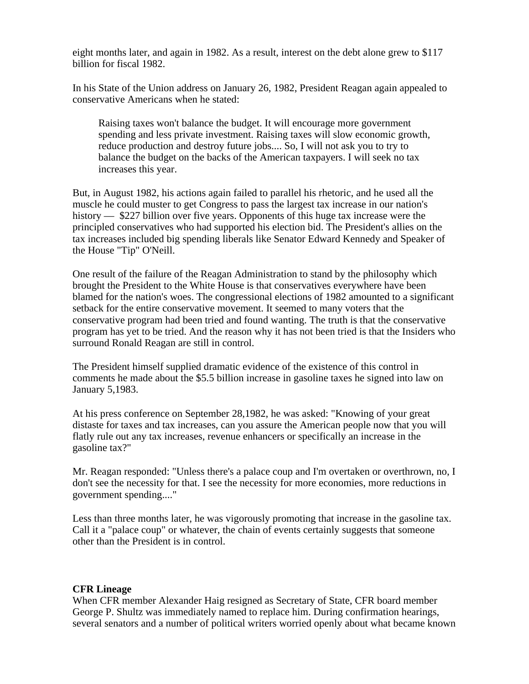eight months later, and again in 1982. As a result, interest on the debt alone grew to \$117 billion for fiscal 1982.

In his State of the Union address on January 26, 1982, President Reagan again appealed to conservative Americans when he stated:

Raising taxes won't balance the budget. It will encourage more government spending and less private investment. Raising taxes will slow economic growth, reduce production and destroy future jobs.... So, I will not ask you to try to balance the budget on the backs of the American taxpayers. I will seek no tax increases this year.

But, in August 1982, his actions again failed to parallel his rhetoric, and he used all the muscle he could muster to get Congress to pass the largest tax increase in our nation's history — \$227 billion over five years. Opponents of this huge tax increase were the principled conservatives who had supported his election bid. The President's allies on the tax increases included big spending liberals like Senator Edward Kennedy and Speaker of the House "Tip" O'Neill.

One result of the failure of the Reagan Administration to stand by the philosophy which brought the President to the White House is that conservatives everywhere have been blamed for the nation's woes. The congressional elections of 1982 amounted to a significant setback for the entire conservative movement. It seemed to many voters that the conservative program had been tried and found wanting. The truth is that the conservative program has yet to be tried. And the reason why it has not been tried is that the Insiders who surround Ronald Reagan are still in control.

The President himself supplied dramatic evidence of the existence of this control in comments he made about the \$5.5 billion increase in gasoline taxes he signed into law on January 5,1983.

At his press conference on September 28,1982, he was asked: "Knowing of your great distaste for taxes and tax increases, can you assure the American people now that you will flatly rule out any tax increases, revenue enhancers or specifically an increase in the gasoline tax?"

Mr. Reagan responded: "Unless there's a palace coup and I'm overtaken or overthrown, no, I don't see the necessity for that. I see the necessity for more economies, more reductions in government spending...."

Less than three months later, he was vigorously promoting that increase in the gasoline tax. Call it a "palace coup" or whatever, the chain of events certainly suggests that someone other than the President is in control.

## **CFR Lineage**

When CFR member Alexander Haig resigned as Secretary of State, CFR board member George P. Shultz was immediately named to replace him. During confirmation hearings, several senators and a number of political writers worried openly about what became known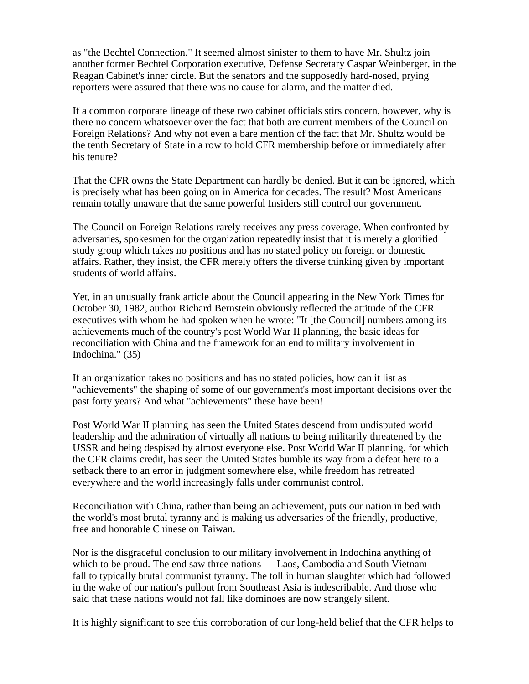as "the Bechtel Connection." It seemed almost sinister to them to have Mr. Shultz join another former Bechtel Corporation executive, Defense Secretary Caspar Weinberger, in the Reagan Cabinet's inner circle. But the senators and the supposedly hard-nosed, prying reporters were assured that there was no cause for alarm, and the matter died.

If a common corporate lineage of these two cabinet officials stirs concern, however, why is there no concern whatsoever over the fact that both are current members of the Council on Foreign Relations? And why not even a bare mention of the fact that Mr. Shultz would be the tenth Secretary of State in a row to hold CFR membership before or immediately after his tenure?

That the CFR owns the State Department can hardly be denied. But it can be ignored, which is precisely what has been going on in America for decades. The result? Most Americans remain totally unaware that the same powerful Insiders still control our government.

The Council on Foreign Relations rarely receives any press coverage. When confronted by adversaries, spokesmen for the organization repeatedly insist that it is merely a glorified study group which takes no positions and has no stated policy on foreign or domestic affairs. Rather, they insist, the CFR merely offers the diverse thinking given by important students of world affairs.

Yet, in an unusually frank article about the Council appearing in the New York Times for October 30, 1982, author Richard Bernstein obviously reflected the attitude of the CFR executives with whom he had spoken when he wrote: "It [the Council] numbers among its achievements much of the country's post World War II planning, the basic ideas for reconciliation with China and the framework for an end to military involvement in Indochina." (35)

If an organization takes no positions and has no stated policies, how can it list as "achievements" the shaping of some of our government's most important decisions over the past forty years? And what "achievements" these have been!

Post World War II planning has seen the United States descend from undisputed world leadership and the admiration of virtually all nations to being militarily threatened by the USSR and being despised by almost everyone else. Post World War II planning, for which the CFR claims credit, has seen the United States bumble its way from a defeat here to a setback there to an error in judgment somewhere else, while freedom has retreated everywhere and the world increasingly falls under communist control.

Reconciliation with China, rather than being an achievement, puts our nation in bed with the world's most brutal tyranny and is making us adversaries of the friendly, productive, free and honorable Chinese on Taiwan.

Nor is the disgraceful conclusion to our military involvement in Indochina anything of which to be proud. The end saw three nations — Laos, Cambodia and South Vietnam fall to typically brutal communist tyranny. The toll in human slaughter which had followed in the wake of our nation's pullout from Southeast Asia is indescribable. And those who said that these nations would not fall like dominoes are now strangely silent.

It is highly significant to see this corroboration of our long-held belief that the CFR helps to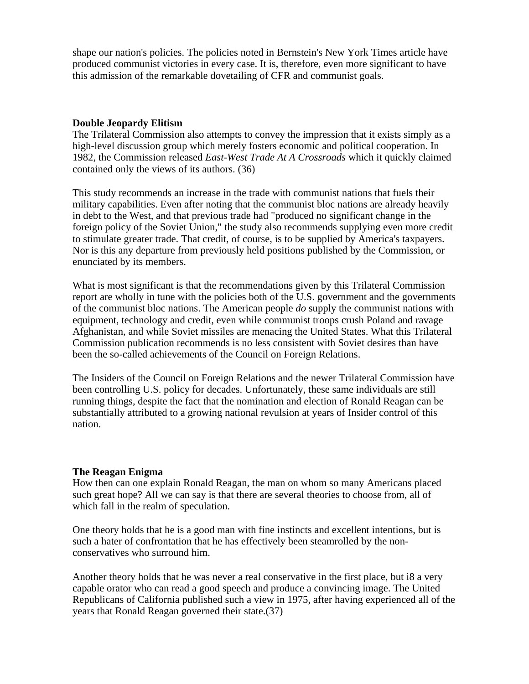shape our nation's policies. The policies noted in Bernstein's New York Times article have produced communist victories in every case. It is, therefore, even more significant to have this admission of the remarkable dovetailing of CFR and communist goals.

## **Double Jeopardy Elitism**

The Trilateral Commission also attempts to convey the impression that it exists simply as a high-level discussion group which merely fosters economic and political cooperation. In 1982, the Commission released *East-West Trade At A Crossroads* which it quickly claimed contained only the views of its authors. (36)

This study recommends an increase in the trade with communist nations that fuels their military capabilities. Even after noting that the communist bloc nations are already heavily in debt to the West, and that previous trade had "produced no significant change in the foreign policy of the Soviet Union," the study also recommends supplying even more credit to stimulate greater trade. That credit, of course, is to be supplied by America's taxpayers. Nor is this any departure from previously held positions published by the Commission, or enunciated by its members.

What is most significant is that the recommendations given by this Trilateral Commission report are wholly in tune with the policies both of the U.S. government and the governments of the communist bloc nations. The American people *do* supply the communist nations with equipment, technology and credit, even while communist troops crush Poland and ravage Afghanistan, and while Soviet missiles are menacing the United States. What this Trilateral Commission publication recommends is no less consistent with Soviet desires than have been the so-called achievements of the Council on Foreign Relations.

The Insiders of the Council on Foreign Relations and the newer Trilateral Commission have been controlling U.S. policy for decades. Unfortunately, these same individuals are still running things, despite the fact that the nomination and election of Ronald Reagan can be substantially attributed to a growing national revulsion at years of Insider control of this nation.

## **The Reagan Enigma**

How then can one explain Ronald Reagan, the man on whom so many Americans placed such great hope? All we can say is that there are several theories to choose from, all of which fall in the realm of speculation.

One theory holds that he is a good man with fine instincts and excellent intentions, but is such a hater of confrontation that he has effectively been steamrolled by the nonconservatives who surround him.

Another theory holds that he was never a real conservative in the first place, but i8 a very capable orator who can read a good speech and produce a convincing image. The United Republicans of California published such a view in 1975, after having experienced all of the years that Ronald Reagan governed their state.(37)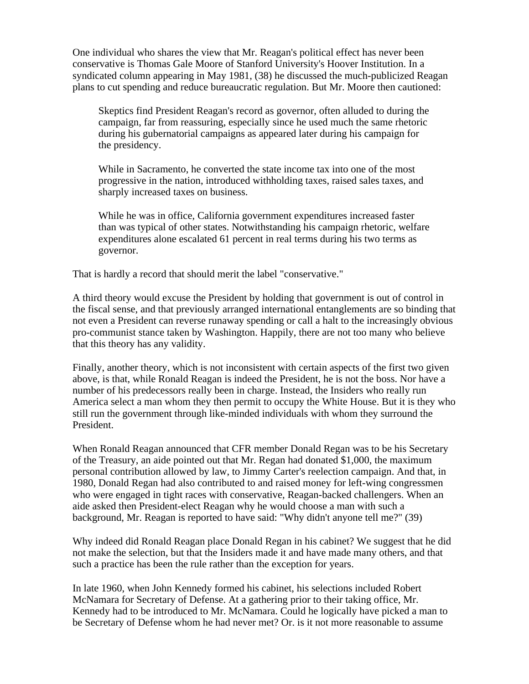One individual who shares the view that Mr. Reagan's political effect has never been conservative is Thomas Gale Moore of Stanford University's Hoover Institution. In a syndicated column appearing in May 1981, (38) he discussed the much-publicized Reagan plans to cut spending and reduce bureaucratic regulation. But Mr. Moore then cautioned:

Skeptics find President Reagan's record as governor, often alluded to during the campaign, far from reassuring, especially since he used much the same rhetoric during his gubernatorial campaigns as appeared later during his campaign for the presidency.

While in Sacramento, he converted the state income tax into one of the most progressive in the nation, introduced withholding taxes, raised sales taxes, and sharply increased taxes on business.

While he was in office, California government expenditures increased faster than was typical of other states. Notwithstanding his campaign rhetoric, welfare expenditures alone escalated 61 percent in real terms during his two terms as governor.

That is hardly a record that should merit the label "conservative."

A third theory would excuse the President by holding that government is out of control in the fiscal sense, and that previously arranged international entanglements are so binding that not even a President can reverse runaway spending or call a halt to the increasingly obvious pro-communist stance taken by Washington. Happily, there are not too many who believe that this theory has any validity.

Finally, another theory, which is not inconsistent with certain aspects of the first two given above, is that, while Ronald Reagan is indeed the President, he is not the boss. Nor have a number of his predecessors really been in charge. Instead, the Insiders who really run America select a man whom they then permit to occupy the White House. But it is they who still run the government through like-minded individuals with whom they surround the President.

When Ronald Reagan announced that CFR member Donald Regan was to be his Secretary of the Treasury, an aide pointed out that Mr. Regan had donated \$1,000, the maximum personal contribution allowed by law, to Jimmy Carter's reelection campaign. And that, in 1980, Donald Regan had also contributed to and raised money for left-wing congressmen who were engaged in tight races with conservative, Reagan-backed challengers. When an aide asked then President-elect Reagan why he would choose a man with such a background, Mr. Reagan is reported to have said: "Why didn't anyone tell me?" (39)

Why indeed did Ronald Reagan place Donald Regan in his cabinet? We suggest that he did not make the selection, but that the Insiders made it and have made many others, and that such a practice has been the rule rather than the exception for years.

In late 1960, when John Kennedy formed his cabinet, his selections included Robert McNamara for Secretary of Defense. At a gathering prior to their taking office, Mr. Kennedy had to be introduced to Mr. McNamara. Could he logically have picked a man to be Secretary of Defense whom he had never met? Or. is it not more reasonable to assume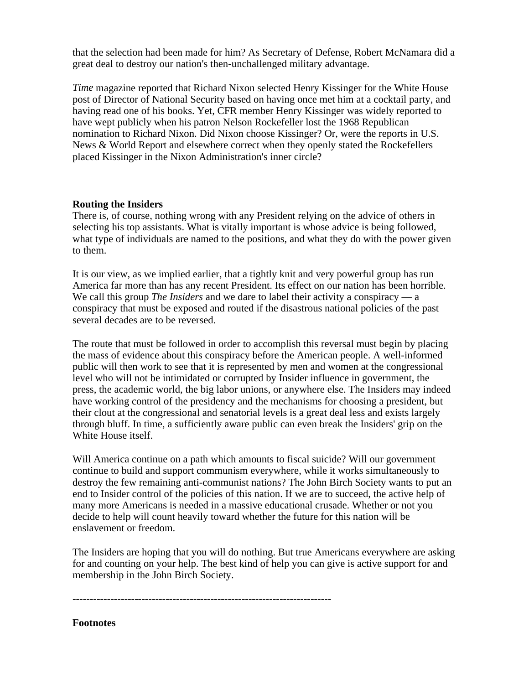that the selection had been made for him? As Secretary of Defense, Robert McNamara did a great deal to destroy our nation's then-unchallenged military advantage.

*Time* magazine reported that Richard Nixon selected Henry Kissinger for the White House post of Director of National Security based on having once met him at a cocktail party, and having read one of his books. Yet, CFR member Henry Kissinger was widely reported to have wept publicly when his patron Nelson Rockefeller lost the 1968 Republican nomination to Richard Nixon. Did Nixon choose Kissinger? Or, were the reports in U.S. News & World Report and elsewhere correct when they openly stated the Rockefellers placed Kissinger in the Nixon Administration's inner circle?

## **Routing the Insiders**

There is, of course, nothing wrong with any President relying on the advice of others in selecting his top assistants. What is vitally important is whose advice is being followed, what type of individuals are named to the positions, and what they do with the power given to them.

It is our view, as we implied earlier, that a tightly knit and very powerful group has run America far more than has any recent President. Its effect on our nation has been horrible. We call this group *The Insiders* and we dare to label their activity a conspiracy — a conspiracy that must be exposed and routed if the disastrous national policies of the past several decades are to be reversed.

The route that must be followed in order to accomplish this reversal must begin by placing the mass of evidence about this conspiracy before the American people. A well-informed public will then work to see that it is represented by men and women at the congressional level who will not be intimidated or corrupted by Insider influence in government, the press, the academic world, the big labor unions, or anywhere else. The Insiders may indeed have working control of the presidency and the mechanisms for choosing a president, but their clout at the congressional and senatorial levels is a great deal less and exists largely through bluff. In time, a sufficiently aware public can even break the Insiders' grip on the White House itself.

Will America continue on a path which amounts to fiscal suicide? Will our government continue to build and support communism everywhere, while it works simultaneously to destroy the few remaining anti-communist nations? The John Birch Society wants to put an end to Insider control of the policies of this nation. If we are to succeed, the active help of many more Americans is needed in a massive educational crusade. Whether or not you decide to help will count heavily toward whether the future for this nation will be enslavement or freedom.

The Insiders are hoping that you will do nothing. But true Americans everywhere are asking for and counting on your help. The best kind of help you can give is active support for and membership in the John Birch Society.

---------------------------------------------------------------------------

## **Footnotes**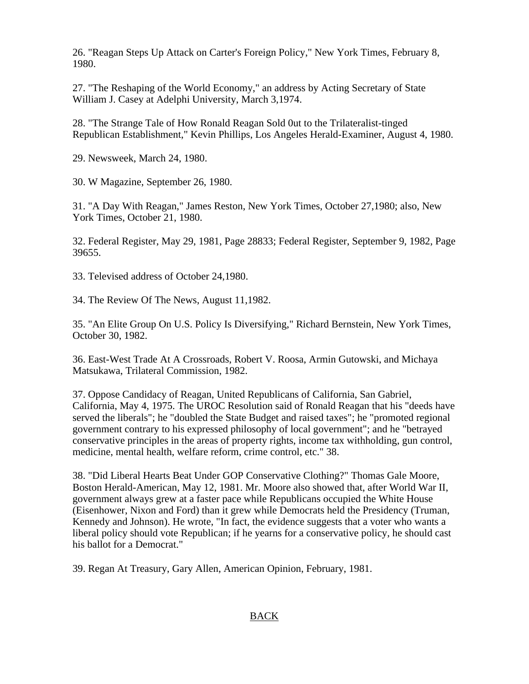26. "Reagan Steps Up Attack on Carter's Foreign Policy," New York Times, February 8, 1980.

27. "The Reshaping of the World Economy," an address by Acting Secretary of State William J. Casey at Adelphi University, March 3,1974.

28. "The Strange Tale of How Ronald Reagan Sold 0ut to the Trilateralist-tinged Republican Establishment," Kevin Phillips, Los Angeles Herald-Examiner, August 4, 1980.

29. Newsweek, March 24, 1980.

30. W Magazine, September 26, 1980.

31. "A Day With Reagan," James Reston, New York Times, October 27,1980; also, New York Times, October 21, 1980.

32. Federal Register, May 29, 1981, Page 28833; Federal Register, September 9, 1982, Page 39655.

33. Televised address of October 24,1980.

34. The Review Of The News, August 11,1982.

35. "An Elite Group On U.S. Policy Is Diversifying," Richard Bernstein, New York Times, October 30, 1982.

36. East-West Trade At A Crossroads, Robert V. Roosa, Armin Gutowski, and Michaya Matsukawa, Trilateral Commission, 1982.

37. Oppose Candidacy of Reagan, United Republicans of California, San Gabriel, California, May 4, 1975. The UROC Resolution said of Ronald Reagan that his "deeds have served the liberals"; he "doubled the State Budget and raised taxes"; he "promoted regional government contrary to his expressed philosophy of local government"; and he "betrayed conservative principles in the areas of property rights, income tax withholding, gun control, medicine, mental health, welfare reform, crime control, etc." 38.

38. "Did Liberal Hearts Beat Under GOP Conservative Clothing?" Thomas Gale Moore, Boston Herald-American, May 12, 1981. Mr. Moore also showed that, after World War II, government always grew at a faster pace while Republicans occupied the White House (Eisenhower, Nixon and Ford) than it grew while Democrats held the Presidency (Truman, Kennedy and Johnson). He wrote, "In fact, the evidence suggests that a voter who wants a liberal policy should vote Republican; if he yearns for a conservative policy, he should cast his ballot for a Democrat."

39. Regan At Treasury, Gary Allen, American Opinion, February, 1981.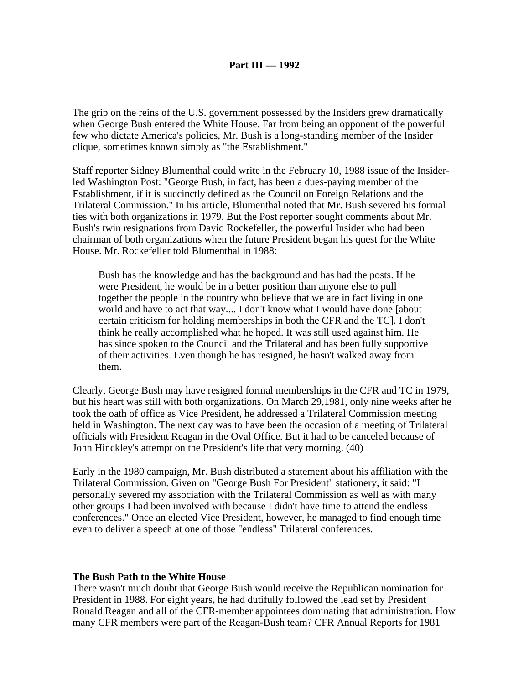The grip on the reins of the U.S. government possessed by the Insiders grew dramatically when George Bush entered the White House. Far from being an opponent of the powerful few who dictate America's policies, Mr. Bush is a long-standing member of the Insider clique, sometimes known simply as "the Establishment."

Staff reporter Sidney Blumenthal could write in the February 10, 1988 issue of the Insiderled Washington Post: "George Bush, in fact, has been a dues-paying member of the Establishment, if it is succinctly defined as the Council on Foreign Relations and the Trilateral Commission." In his article, Blumenthal noted that Mr. Bush severed his formal ties with both organizations in 1979. But the Post reporter sought comments about Mr. Bush's twin resignations from David Rockefeller, the powerful Insider who had been chairman of both organizations when the future President began his quest for the White House. Mr. Rockefeller told Blumenthal in 1988:

Bush has the knowledge and has the background and has had the posts. If he were President, he would be in a better position than anyone else to pull together the people in the country who believe that we are in fact living in one world and have to act that way.... I don't know what I would have done [about certain criticism for holding memberships in both the CFR and the TC]. I don't think he really accomplished what he hoped. It was still used against him. He has since spoken to the Council and the Trilateral and has been fully supportive of their activities. Even though he has resigned, he hasn't walked away from them.

Clearly, George Bush may have resigned formal memberships in the CFR and TC in 1979, but his heart was still with both organizations. On March 29,1981, only nine weeks after he took the oath of office as Vice President, he addressed a Trilateral Commission meeting held in Washington. The next day was to have been the occasion of a meeting of Trilateral officials with President Reagan in the Oval Office. But it had to be canceled because of John Hinckley's attempt on the President's life that very morning. (40)

Early in the 1980 campaign, Mr. Bush distributed a statement about his affiliation with the Trilateral Commission. Given on "George Bush For President" stationery, it said: "I personally severed my association with the Trilateral Commission as well as with many other groups I had been involved with because I didn't have time to attend the endless conferences." Once an elected Vice President, however, he managed to find enough time even to deliver a speech at one of those "endless" Trilateral conferences.

## **The Bush Path to the White House**

There wasn't much doubt that George Bush would receive the Republican nomination for President in 1988. For eight years, he had dutifully followed the lead set by President Ronald Reagan and all of the CFR-member appointees dominating that administration. How many CFR members were part of the Reagan-Bush team? CFR Annual Reports for 1981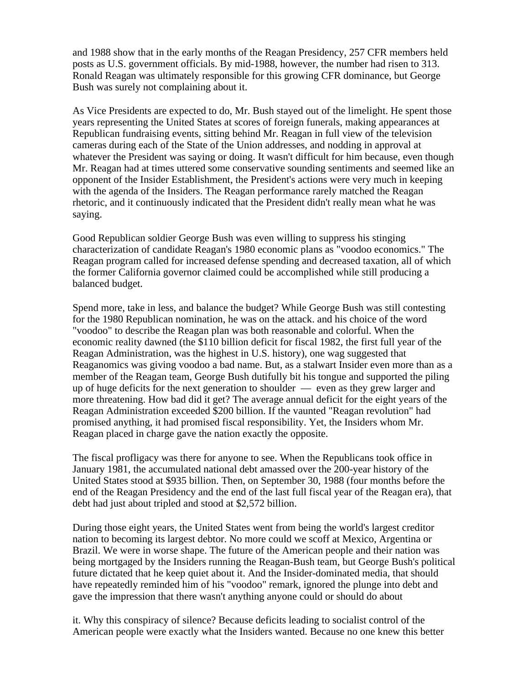and 1988 show that in the early months of the Reagan Presidency, 257 CFR members held posts as U.S. government officials. By mid-1988, however, the number had risen to 313. Ronald Reagan was ultimately responsible for this growing CFR dominance, but George Bush was surely not complaining about it.

As Vice Presidents are expected to do, Mr. Bush stayed out of the limelight. He spent those years representing the United States at scores of foreign funerals, making appearances at Republican fundraising events, sitting behind Mr. Reagan in full view of the television cameras during each of the State of the Union addresses, and nodding in approval at whatever the President was saying or doing. It wasn't difficult for him because, even though Mr. Reagan had at times uttered some conservative sounding sentiments and seemed like an opponent of the Insider Establishment, the President's actions were very much in keeping with the agenda of the Insiders. The Reagan performance rarely matched the Reagan rhetoric, and it continuously indicated that the President didn't really mean what he was saying.

Good Republican soldier George Bush was even willing to suppress his stinging characterization of candidate Reagan's 1980 economic plans as "voodoo economics." The Reagan program called for increased defense spending and decreased taxation, all of which the former California governor claimed could be accomplished while still producing a balanced budget.

Spend more, take in less, and balance the budget? While George Bush was still contesting for the 1980 Republican nomination, he was on the attack. and his choice of the word "voodoo" to describe the Reagan plan was both reasonable and colorful. When the economic reality dawned (the \$110 billion deficit for fiscal 1982, the first full year of the Reagan Administration, was the highest in U.S. history), one wag suggested that Reaganomics was giving voodoo a bad name. But, as a stalwart Insider even more than as a member of the Reagan team, George Bush dutifully bit his tongue and supported the piling up of huge deficits for the next generation to shoulder — even as they grew larger and more threatening. How bad did it get? The average annual deficit for the eight years of the Reagan Administration exceeded \$200 billion. If the vaunted "Reagan revolution" had promised anything, it had promised fiscal responsibility. Yet, the Insiders whom Mr. Reagan placed in charge gave the nation exactly the opposite.

The fiscal profligacy was there for anyone to see. When the Republicans took office in January 1981, the accumulated national debt amassed over the 200-year history of the United States stood at \$935 billion. Then, on September 30, 1988 (four months before the end of the Reagan Presidency and the end of the last full fiscal year of the Reagan era), that debt had just about tripled and stood at \$2,572 billion.

During those eight years, the United States went from being the world's largest creditor nation to becoming its largest debtor. No more could we scoff at Mexico, Argentina or Brazil. We were in worse shape. The future of the American people and their nation was being mortgaged by the Insiders running the Reagan-Bush team, but George Bush's political future dictated that he keep quiet about it. And the Insider-dominated media, that should have repeatedly reminded him of his "voodoo" remark, ignored the plunge into debt and gave the impression that there wasn't anything anyone could or should do about

it. Why this conspiracy of silence? Because deficits leading to socialist control of the American people were exactly what the Insiders wanted. Because no one knew this better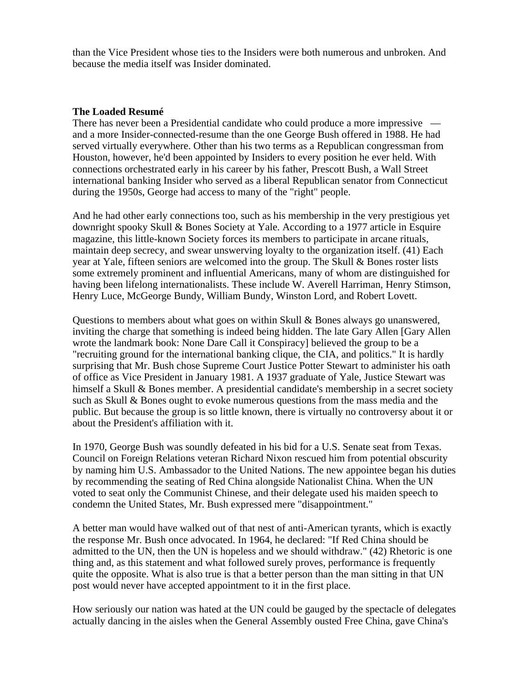than the Vice President whose ties to the Insiders were both numerous and unbroken. And because the media itself was Insider dominated.

#### **The Loaded Resumé**

There has never been a Presidential candidate who could produce a more impressive and a more Insider-connected-resume than the one George Bush offered in 1988. He had served virtually everywhere. Other than his two terms as a Republican congressman from Houston, however, he'd been appointed by Insiders to every position he ever held. With connections orchestrated early in his career by his father, Prescott Bush, a Wall Street international banking Insider who served as a liberal Republican senator from Connecticut during the 1950s, George had access to many of the "right" people.

And he had other early connections too, such as his membership in the very prestigious yet downright spooky Skull & Bones Society at Yale. According to a 1977 article in Esquire magazine, this little-known Society forces its members to participate in arcane rituals, maintain deep secrecy, and swear unswerving loyalty to the organization itself. (41) Each year at Yale, fifteen seniors are welcomed into the group. The Skull & Bones roster lists some extremely prominent and influential Americans, many of whom are distinguished for having been lifelong internationalists. These include W. Averell Harriman, Henry Stimson, Henry Luce, McGeorge Bundy, William Bundy, Winston Lord, and Robert Lovett.

Questions to members about what goes on within Skull & Bones always go unanswered, inviting the charge that something is indeed being hidden. The late Gary Allen [Gary Allen wrote the landmark book: None Dare Call it Conspiracy] believed the group to be a "recruiting ground for the international banking clique, the CIA, and politics." It is hardly surprising that Mr. Bush chose Supreme Court Justice Potter Stewart to administer his oath of office as Vice President in January 1981. A 1937 graduate of Yale, Justice Stewart was himself a Skull & Bones member. A presidential candidate's membership in a secret society such as Skull & Bones ought to evoke numerous questions from the mass media and the public. But because the group is so little known, there is virtually no controversy about it or about the President's affiliation with it.

In 1970, George Bush was soundly defeated in his bid for a U.S. Senate seat from Texas. Council on Foreign Relations veteran Richard Nixon rescued him from potential obscurity by naming him U.S. Ambassador to the United Nations. The new appointee began his duties by recommending the seating of Red China alongside Nationalist China. When the UN voted to seat only the Communist Chinese, and their delegate used his maiden speech to condemn the United States, Mr. Bush expressed mere "disappointment."

A better man would have walked out of that nest of anti-American tyrants, which is exactly the response Mr. Bush once advocated. In 1964, he declared: "If Red China should be admitted to the UN, then the UN is hopeless and we should withdraw." (42) Rhetoric is one thing and, as this statement and what followed surely proves, performance is frequently quite the opposite. What is also true is that a better person than the man sitting in that UN post would never have accepted appointment to it in the first place.

How seriously our nation was hated at the UN could be gauged by the spectacle of delegates actually dancing in the aisles when the General Assembly ousted Free China, gave China's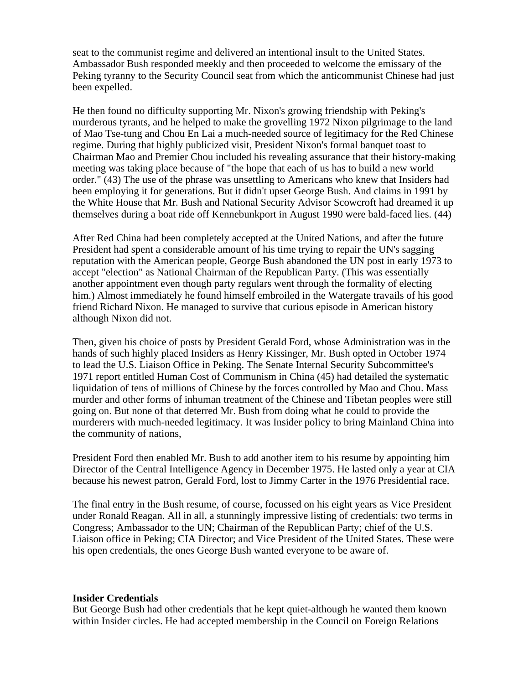seat to the communist regime and delivered an intentional insult to the United States. Ambassador Bush responded meekly and then proceeded to welcome the emissary of the Peking tyranny to the Security Council seat from which the anticommunist Chinese had just been expelled.

He then found no difficulty supporting Mr. Nixon's growing friendship with Peking's murderous tyrants, and he helped to make the grovelling 1972 Nixon pilgrimage to the land of Mao Tse-tung and Chou En Lai a much-needed source of legitimacy for the Red Chinese regime. During that highly publicized visit, President Nixon's formal banquet toast to Chairman Mao and Premier Chou included his revealing assurance that their history-making meeting was taking place because of "the hope that each of us has to build a new world order." (43) The use of the phrase was unsettling to Americans who knew that Insiders had been employing it for generations. But it didn't upset George Bush. And claims in 1991 by the White House that Mr. Bush and National Security Advisor Scowcroft had dreamed it up themselves during a boat ride off Kennebunkport in August 1990 were bald-faced lies. (44)

After Red China had been completely accepted at the United Nations, and after the future President had spent a considerable amount of his time trying to repair the UN's sagging reputation with the American people, George Bush abandoned the UN post in early 1973 to accept "election" as National Chairman of the Republican Party. (This was essentially another appointment even though party regulars went through the formality of electing him.) Almost immediately he found himself embroiled in the Watergate travails of his good friend Richard Nixon. He managed to survive that curious episode in American history although Nixon did not.

Then, given his choice of posts by President Gerald Ford, whose Administration was in the hands of such highly placed Insiders as Henry Kissinger, Mr. Bush opted in October 1974 to lead the U.S. Liaison Office in Peking. The Senate Internal Security Subcommittee's 1971 report entitled Human Cost of Communism in China (45) had detailed the systematic liquidation of tens of millions of Chinese by the forces controlled by Mao and Chou. Mass murder and other forms of inhuman treatment of the Chinese and Tibetan peoples were still going on. But none of that deterred Mr. Bush from doing what he could to provide the murderers with much-needed legitimacy. It was Insider policy to bring Mainland China into the community of nations,

President Ford then enabled Mr. Bush to add another item to his resume by appointing him Director of the Central Intelligence Agency in December 1975. He lasted only a year at CIA because his newest patron, Gerald Ford, lost to Jimmy Carter in the 1976 Presidential race.

The final entry in the Bush resume, of course, focussed on his eight years as Vice President under Ronald Reagan. All in all, a stunningly impressive listing of credentials: two terms in Congress; Ambassador to the UN; Chairman of the Republican Party; chief of the U.S. Liaison office in Peking; CIA Director; and Vice President of the United States. These were his open credentials, the ones George Bush wanted everyone to be aware of.

## **Insider Credentials**

But George Bush had other credentials that he kept quiet-although he wanted them known within Insider circles. He had accepted membership in the Council on Foreign Relations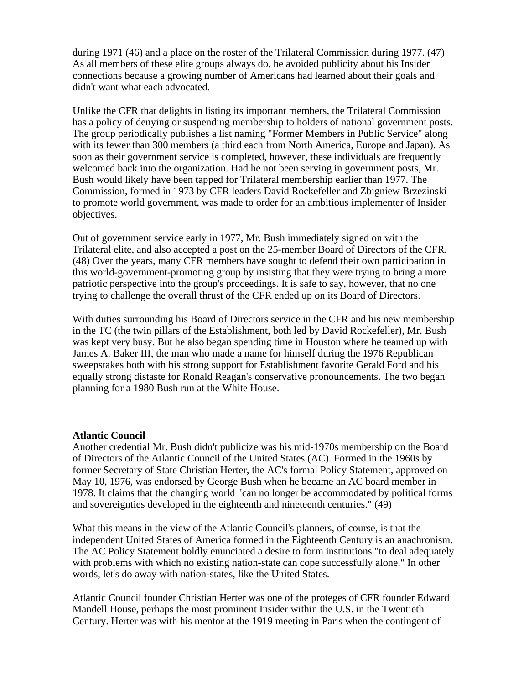during 1971 (46) and a place on the roster of the Trilateral Commission during 1977. (47) As all members of these elite groups always do, he avoided publicity about his Insider connections because a growing number of Americans had learned about their goals and didn't want what each advocated.

Unlike the CFR that delights in listing its important members, the Trilateral Commission has a policy of denying or suspending membership to holders of national government posts. The group periodically publishes a list naming "Former Members in Public Service" along with its fewer than 300 members (a third each from North America, Europe and Japan). As soon as their government service is completed, however, these individuals are frequently welcomed back into the organization. Had he not been serving in government posts, Mr. Bush would likely have been tapped for Trilateral membership earlier than 1977. The Commission, formed in 1973 by CFR leaders David Rockefeller and Zbigniew Brzezinski to promote world government, was made to order for an ambitious implementer of Insider objectives.

Out of government service early in 1977, Mr. Bush immediately signed on with the Trilateral elite, and also accepted a post on the 25-member Board of Directors of the CFR. (48) Over the years, many CFR members have sought to defend their own participation in this world-government-promoting group by insisting that they were trying to bring a more patriotic perspective into the group's proceedings. It is safe to say, however, that no one trying to challenge the overall thrust of the CFR ended up on its Board of Directors.

With duties surrounding his Board of Directors service in the CFR and his new membership in the TC (the twin pillars of the Establishment, both led by David Rockefeller), Mr. Bush was kept very busy. But he also began spending time in Houston where he teamed up with James A. Baker III, the man who made a name for himself during the 1976 Republican sweepstakes both with his strong support for Establishment favorite Gerald Ford and his equally strong distaste for Ronald Reagan's conservative pronouncements. The two began planning for a 1980 Bush run at the White House.

## **Atlantic Council**

Another credential Mr. Bush didn't publicize was his mid-1970s membership on the Board of Directors of the Atlantic Council of the United States (AC). Formed in the 1960s by former Secretary of State Christian Herter, the AC's formal Policy Statement, approved on May 10, 1976, was endorsed by George Bush when he became an AC board member in 1978. It claims that the changing world "can no longer be accommodated by political forms and sovereignties developed in the eighteenth and nineteenth centuries." (49)

What this means in the view of the Atlantic Council's planners, of course, is that the independent United States of America formed in the Eighteenth Century is an anachronism. The AC Policy Statement boldly enunciated a desire to form institutions "to deal adequately with problems with which no existing nation-state can cope successfully alone." In other words, let's do away with nation-states, like the United States.

Atlantic Council founder Christian Herter was one of the proteges of CFR founder Edward Mandell House, perhaps the most prominent Insider within the U.S. in the Twentieth Century. Herter was with his mentor at the 1919 meeting in Paris when the contingent of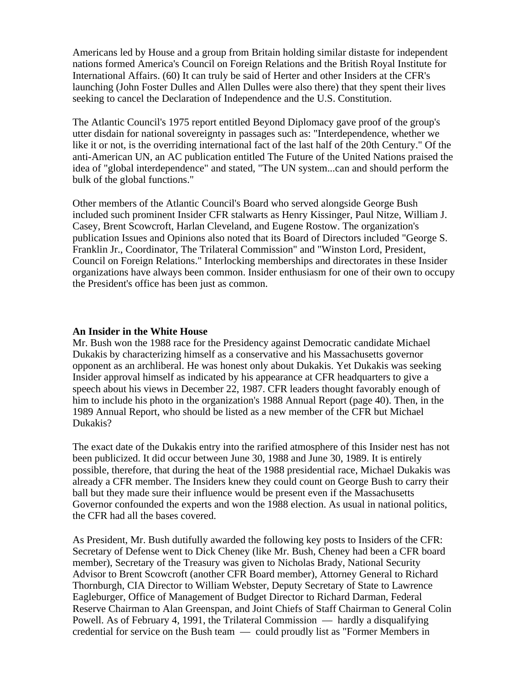Americans led by House and a group from Britain holding similar distaste for independent nations formed America's Council on Foreign Relations and the British Royal Institute for International Affairs. (60) It can truly be said of Herter and other Insiders at the CFR's launching (John Foster Dulles and Allen Dulles were also there) that they spent their lives seeking to cancel the Declaration of Independence and the U.S. Constitution.

The Atlantic Council's 1975 report entitled Beyond Diplomacy gave proof of the group's utter disdain for national sovereignty in passages such as: "Interdependence, whether we like it or not, is the overriding international fact of the last half of the 20th Century." Of the anti-American UN, an AC publication entitled The Future of the United Nations praised the idea of "global interdependence" and stated, "The UN system...can and should perform the bulk of the global functions."

Other members of the Atlantic Council's Board who served alongside George Bush included such prominent Insider CFR stalwarts as Henry Kissinger, Paul Nitze, William J. Casey, Brent Scowcroft, Harlan Cleveland, and Eugene Rostow. The organization's publication Issues and Opinions also noted that its Board of Directors included "George S. Franklin Jr., Coordinator, The Trilateral Commission" and "Winston Lord, President, Council on Foreign Relations." Interlocking memberships and directorates in these Insider organizations have always been common. Insider enthusiasm for one of their own to occupy the President's office has been just as common.

#### **An Insider in the White House**

Mr. Bush won the 1988 race for the Presidency against Democratic candidate Michael Dukakis by characterizing himself as a conservative and his Massachusetts governor opponent as an archliberal. He was honest only about Dukakis. Yet Dukakis was seeking Insider approval himself as indicated by his appearance at CFR headquarters to give a speech about his views in December 22, 1987. CFR leaders thought favorably enough of him to include his photo in the organization's 1988 Annual Report (page 40). Then, in the 1989 Annual Report, who should be listed as a new member of the CFR but Michael Dukakis?

The exact date of the Dukakis entry into the rarified atmosphere of this Insider nest has not been publicized. It did occur between June 30, 1988 and June 30, 1989. It is entirely possible, therefore, that during the heat of the 1988 presidential race, Michael Dukakis was already a CFR member. The Insiders knew they could count on George Bush to carry their ball but they made sure their influence would be present even if the Massachusetts Governor confounded the experts and won the 1988 election. As usual in national politics, the CFR had all the bases covered.

As President, Mr. Bush dutifully awarded the following key posts to Insiders of the CFR: Secretary of Defense went to Dick Cheney (like Mr. Bush, Cheney had been a CFR board member), Secretary of the Treasury was given to Nicholas Brady, National Security Advisor to Brent Scowcroft (another CFR Board member), Attorney General to Richard Thornburgh, CIA Director to William Webster, Deputy Secretary of State to Lawrence Eagleburger, Office of Management of Budget Director to Richard Darman, Federal Reserve Chairman to Alan Greenspan, and Joint Chiefs of Staff Chairman to General Colin Powell. As of February 4, 1991, the Trilateral Commission — hardly a disqualifying credential for service on the Bush team — could proudly list as "Former Members in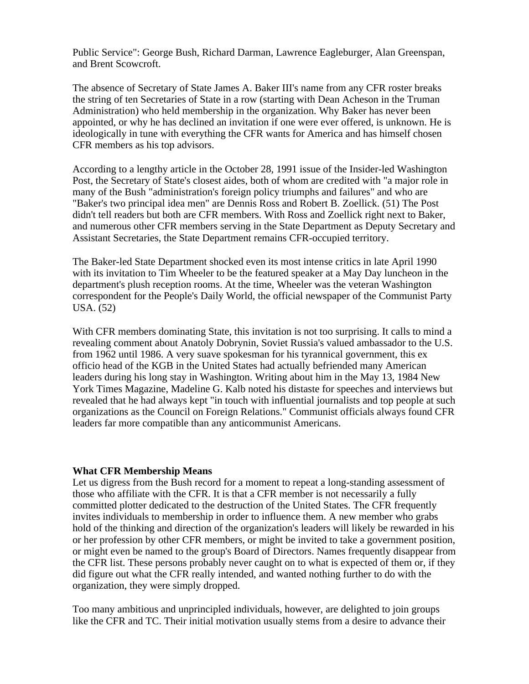Public Service": George Bush, Richard Darman, Lawrence Eagleburger, Alan Greenspan, and Brent Scowcroft.

The absence of Secretary of State James A. Baker III's name from any CFR roster breaks the string of ten Secretaries of State in a row (starting with Dean Acheson in the Truman Administration) who held membership in the organization. Why Baker has never been appointed, or why he has declined an invitation if one were ever offered, is unknown. He is ideologically in tune with everything the CFR wants for America and has himself chosen CFR members as his top advisors.

According to a lengthy article in the October 28, 1991 issue of the Insider-led Washington Post, the Secretary of State's closest aides, both of whom are credited with "a major role in many of the Bush "administration's foreign policy triumphs and failures" and who are "Baker's two principal idea men" are Dennis Ross and Robert B. Zoellick. (51) The Post didn't tell readers but both are CFR members. With Ross and Zoellick right next to Baker, and numerous other CFR members serving in the State Department as Deputy Secretary and Assistant Secretaries, the State Department remains CFR-occupied territory.

The Baker-led State Department shocked even its most intense critics in late April 1990 with its invitation to Tim Wheeler to be the featured speaker at a May Day luncheon in the department's plush reception rooms. At the time, Wheeler was the veteran Washington correspondent for the People's Daily World, the official newspaper of the Communist Party USA. (52)

With CFR members dominating State, this invitation is not too surprising. It calls to mind a revealing comment about Anatoly Dobrynin, Soviet Russia's valued ambassador to the U.S. from 1962 until 1986. A very suave spokesman for his tyrannical government, this ex officio head of the KGB in the United States had actually befriended many American leaders during his long stay in Washington. Writing about him in the May 13, 1984 New York Times Magazine, Madeline G. Kalb noted his distaste for speeches and interviews but revealed that he had always kept "in touch with influential journalists and top people at such organizations as the Council on Foreign Relations." Communist officials always found CFR leaders far more compatible than any anticommunist Americans.

## **What CFR Membership Means**

Let us digress from the Bush record for a moment to repeat a long-standing assessment of those who affiliate with the CFR. It is that a CFR member is not necessarily a fully committed plotter dedicated to the destruction of the United States. The CFR frequently invites individuals to membership in order to influence them. A new member who grabs hold of the thinking and direction of the organization's leaders will likely be rewarded in his or her profession by other CFR members, or might be invited to take a government position, or might even be named to the group's Board of Directors. Names frequently disappear from the CFR list. These persons probably never caught on to what is expected of them or, if they did figure out what the CFR really intended, and wanted nothing further to do with the organization, they were simply dropped.

Too many ambitious and unprincipled individuals, however, are delighted to join groups like the CFR and TC. Their initial motivation usually stems from a desire to advance their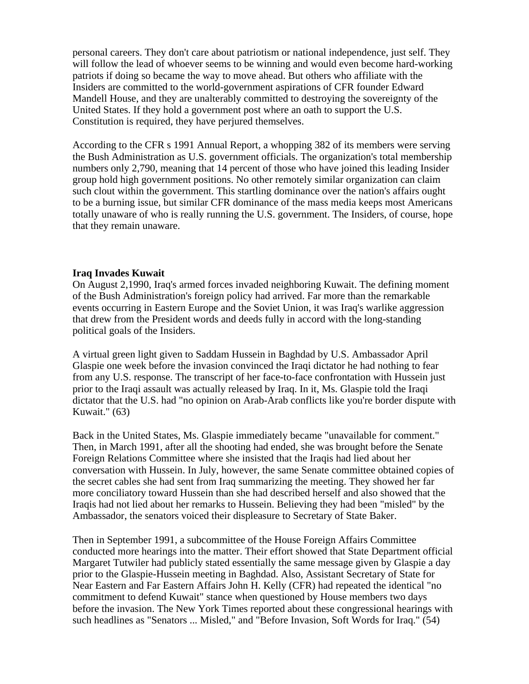personal careers. They don't care about patriotism or national independence, just self. They will follow the lead of whoever seems to be winning and would even become hard-working patriots if doing so became the way to move ahead. But others who affiliate with the Insiders are committed to the world-government aspirations of CFR founder Edward Mandell House, and they are unalterably committed to destroying the sovereignty of the United States. If they hold a government post where an oath to support the U.S. Constitution is required, they have perjured themselves.

According to the CFR s 1991 Annual Report, a whopping 382 of its members were serving the Bush Administration as U.S. government officials. The organization's total membership numbers only 2,790, meaning that 14 percent of those who have joined this leading Insider group hold high government positions. No other remotely similar organization can claim such clout within the government. This startling dominance over the nation's affairs ought to be a burning issue, but similar CFR dominance of the mass media keeps most Americans totally unaware of who is really running the U.S. government. The Insiders, of course, hope that they remain unaware.

## **Iraq Invades Kuwait**

On August 2,1990, Iraq's armed forces invaded neighboring Kuwait. The defining moment of the Bush Administration's foreign policy had arrived. Far more than the remarkable events occurring in Eastern Europe and the Soviet Union, it was Iraq's warlike aggression that drew from the President words and deeds fully in accord with the long-standing political goals of the Insiders.

A virtual green light given to Saddam Hussein in Baghdad by U.S. Ambassador April Glaspie one week before the invasion convinced the Iraqi dictator he had nothing to fear from any U.S. response. The transcript of her face-to-face confrontation with Hussein just prior to the Iraqi assault was actually released by Iraq. In it, Ms. Glaspie told the Iraqi dictator that the U.S. had "no opinion on Arab-Arab conflicts like you're border dispute with Kuwait." (63)

Back in the United States, Ms. Glaspie immediately became "unavailable for comment." Then, in March 1991, after all the shooting had ended, she was brought before the Senate Foreign Relations Committee where she insisted that the Iraqis had lied about her conversation with Hussein. In July, however, the same Senate committee obtained copies of the secret cables she had sent from Iraq summarizing the meeting. They showed her far more conciliatory toward Hussein than she had described herself and also showed that the Iraqis had not lied about her remarks to Hussein. Believing they had been "misled" by the Ambassador, the senators voiced their displeasure to Secretary of State Baker.

Then in September 1991, a subcommittee of the House Foreign Affairs Committee conducted more hearings into the matter. Their effort showed that State Department official Margaret Tutwiler had publicly stated essentially the same message given by Glaspie a day prior to the Glaspie-Hussein meeting in Baghdad. Also, Assistant Secretary of State for Near Eastern and Far Eastern Affairs John H. Kelly (CFR) had repeated the identical "no commitment to defend Kuwait" stance when questioned by House members two days before the invasion. The New York Times reported about these congressional hearings with such headlines as "Senators ... Misled," and "Before Invasion, Soft Words for Iraq." (54)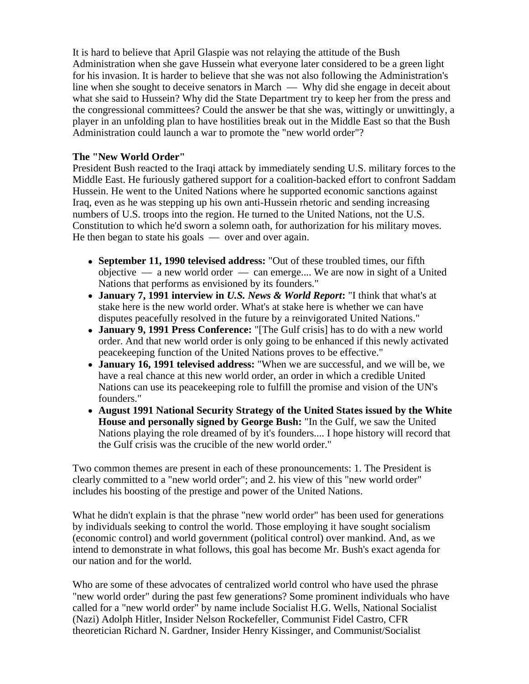It is hard to believe that April Glaspie was not relaying the attitude of the Bush Administration when she gave Hussein what everyone later considered to be a green light for his invasion. It is harder to believe that she was not also following the Administration's line when she sought to deceive senators in March — Why did she engage in deceit about what she said to Hussein? Why did the State Department try to keep her from the press and the congressional committees? Could the answer be that she was, wittingly or unwittingly, a player in an unfolding plan to have hostilities break out in the Middle East so that the Bush Administration could launch a war to promote the "new world order"?

## **The "New World Order"**

President Bush reacted to the Iraqi attack by immediately sending U.S. military forces to the Middle East. He furiously gathered support for a coalition-backed effort to confront Saddam Hussein. He went to the United Nations where he supported economic sanctions against Iraq, even as he was stepping up his own anti-Hussein rhetoric and sending increasing numbers of U.S. troops into the region. He turned to the United Nations, not the U.S. Constitution to which he'd sworn a solemn oath, for authorization for his military moves. He then began to state his goals — over and over again.

- September 11, 1990 televised address: "Out of these troubled times, our fifth objective — a new world order — can emerge.... We are now in sight of a United Nations that performs as envisioned by its founders."
- January 7, 1991 interview in *U.S. News & World Report*: "I think that what's at stake here is the new world order. What's at stake here is whether we can have disputes peacefully resolved in the future by a reinvigorated United Nations."
- **January 9, 1991 Press Conference:** "[The Gulf crisis] has to do with a new world order. And that new world order is only going to be enhanced if this newly activated peacekeeping function of the United Nations proves to be effective."
- January 16, 1991 televised address: "When we are successful, and we will be, we have a real chance at this new world order, an order in which a credible United Nations can use its peacekeeping role to fulfill the promise and vision of the UN's founders."
- **August 1991 National Security Strategy of the United States issued by the White House and personally signed by George Bush:** "In the Gulf, we saw the United Nations playing the role dreamed of by it's founders.... I hope history will record that the Gulf crisis was the crucible of the new world order."

Two common themes are present in each of these pronouncements: 1. The President is clearly committed to a "new world order"; and 2. his view of this "new world order" includes his boosting of the prestige and power of the United Nations.

What he didn't explain is that the phrase "new world order" has been used for generations by individuals seeking to control the world. Those employing it have sought socialism (economic control) and world government (political control) over mankind. And, as we intend to demonstrate in what follows, this goal has become Mr. Bush's exact agenda for our nation and for the world.

Who are some of these advocates of centralized world control who have used the phrase "new world order" during the past few generations? Some prominent individuals who have called for a "new world order" by name include Socialist H.G. Wells, National Socialist (Nazi) Adolph Hitler, Insider Nelson Rockefeller, Communist Fidel Castro, CFR theoretician Richard N. Gardner, Insider Henry Kissinger, and Communist/Socialist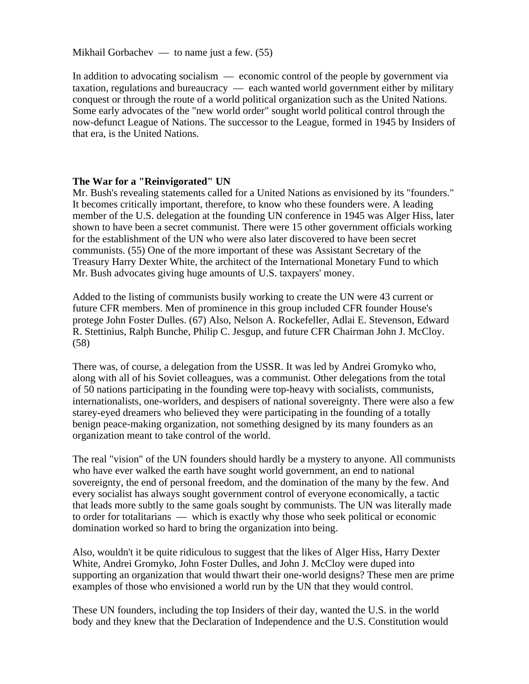Mikhail Gorbachev — to name just a few.  $(55)$ 

In addition to advocating socialism — economic control of the people by government via taxation, regulations and bureaucracy — each wanted world government either by military conquest or through the route of a world political organization such as the United Nations. Some early advocates of the "new world order" sought world political control through the now-defunct League of Nations. The successor to the League, formed in 1945 by Insiders of that era, is the United Nations.

## **The War for a "Reinvigorated" UN**

Mr. Bush's revealing statements called for a United Nations as envisioned by its "founders." It becomes critically important, therefore, to know who these founders were. A leading member of the U.S. delegation at the founding UN conference in 1945 was Alger Hiss, later shown to have been a secret communist. There were 15 other government officials working for the establishment of the UN who were also later discovered to have been secret communists. (55) One of the more important of these was Assistant Secretary of the Treasury Harry Dexter White, the architect of the International Monetary Fund to which Mr. Bush advocates giving huge amounts of U.S. taxpayers' money.

Added to the listing of communists busily working to create the UN were 43 current or future CFR members. Men of prominence in this group included CFR founder House's protege John Foster Dulles. (67) Also, Nelson A. Rockefeller, Adlai E. Stevenson, Edward R. Stettinius, Ralph Bunche, Philip C. Jesgup, and future CFR Chairman John J. McCloy. (58)

There was, of course, a delegation from the USSR. It was led by Andrei Gromyko who, along with all of his Soviet colleagues, was a communist. Other delegations from the total of 50 nations participating in the founding were top-heavy with socialists, communists, internationalists, one-worlders, and despisers of national sovereignty. There were also a few starey-eyed dreamers who believed they were participating in the founding of a totally benign peace-making organization, not something designed by its many founders as an organization meant to take control of the world.

The real "vision" of the UN founders should hardly be a mystery to anyone. All communists who have ever walked the earth have sought world government, an end to national sovereignty, the end of personal freedom, and the domination of the many by the few. And every socialist has always sought government control of everyone economically, a tactic that leads more subtly to the same goals sought by communists. The UN was literally made to order for totalitarians — which is exactly why those who seek political or economic domination worked so hard to bring the organization into being.

Also, wouldn't it be quite ridiculous to suggest that the likes of Alger Hiss, Harry Dexter White, Andrei Gromyko, John Foster Dulles, and John J. McCloy were duped into supporting an organization that would thwart their one-world designs? These men are prime examples of those who envisioned a world run by the UN that they would control.

These UN founders, including the top Insiders of their day, wanted the U.S. in the world body and they knew that the Declaration of Independence and the U.S. Constitution would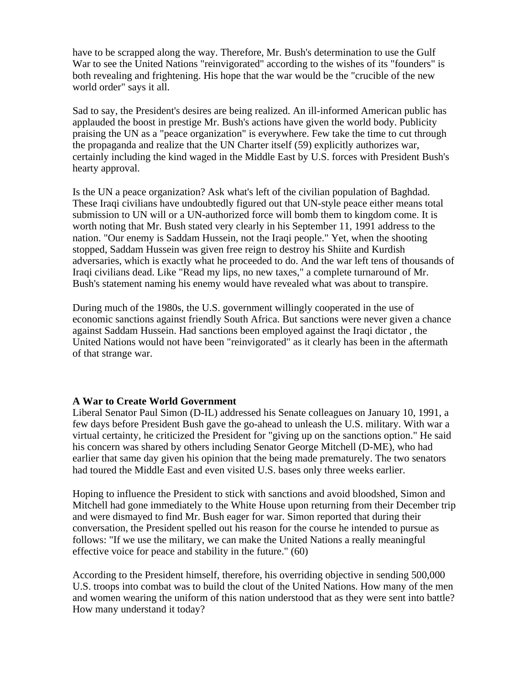have to be scrapped along the way. Therefore, Mr. Bush's determination to use the Gulf War to see the United Nations "reinvigorated" according to the wishes of its "founders" is both revealing and frightening. His hope that the war would be the "crucible of the new world order" says it all.

Sad to say, the President's desires are being realized. An ill-informed American public has applauded the boost in prestige Mr. Bush's actions have given the world body. Publicity praising the UN as a "peace organization" is everywhere. Few take the time to cut through the propaganda and realize that the UN Charter itself (59) explicitly authorizes war, certainly including the kind waged in the Middle East by U.S. forces with President Bush's hearty approval.

Is the UN a peace organization? Ask what's left of the civilian population of Baghdad. These Iraqi civilians have undoubtedly figured out that UN-style peace either means total submission to UN will or a UN-authorized force will bomb them to kingdom come. It is worth noting that Mr. Bush stated very clearly in his September 11, 1991 address to the nation. "Our enemy is Saddam Hussein, not the Iraqi people." Yet, when the shooting stopped, Saddam Hussein was given free reign to destroy his Shiite and Kurdish adversaries, which is exactly what he proceeded to do. And the war left tens of thousands of Iraqi civilians dead. Like "Read my lips, no new taxes," a complete turnaround of Mr. Bush's statement naming his enemy would have revealed what was about to transpire.

During much of the 1980s, the U.S. government willingly cooperated in the use of economic sanctions against friendly South Africa. But sanctions were never given a chance against Saddam Hussein. Had sanctions been employed against the Iraqi dictator , the United Nations would not have been "reinvigorated" as it clearly has been in the aftermath of that strange war.

## **A War to Create World Government**

Liberal Senator Paul Simon (D-IL) addressed his Senate colleagues on January 10, 1991, a few days before President Bush gave the go-ahead to unleash the U.S. military. With war a virtual certainty, he criticized the President for "giving up on the sanctions option." He said his concern was shared by others including Senator George Mitchell (D-ME), who had earlier that same day given his opinion that the being made prematurely. The two senators had toured the Middle East and even visited U.S. bases only three weeks earlier.

Hoping to influence the President to stick with sanctions and avoid bloodshed, Simon and Mitchell had gone immediately to the White House upon returning from their December trip and were dismayed to find Mr. Bush eager for war. Simon reported that during their conversation, the President spelled out his reason for the course he intended to pursue as follows: "If we use the military, we can make the United Nations a really meaningful effective voice for peace and stability in the future." (60)

According to the President himself, therefore, his overriding objective in sending 500,000 U.S. troops into combat was to build the clout of the United Nations. How many of the men and women wearing the uniform of this nation understood that as they were sent into battle? How many understand it today?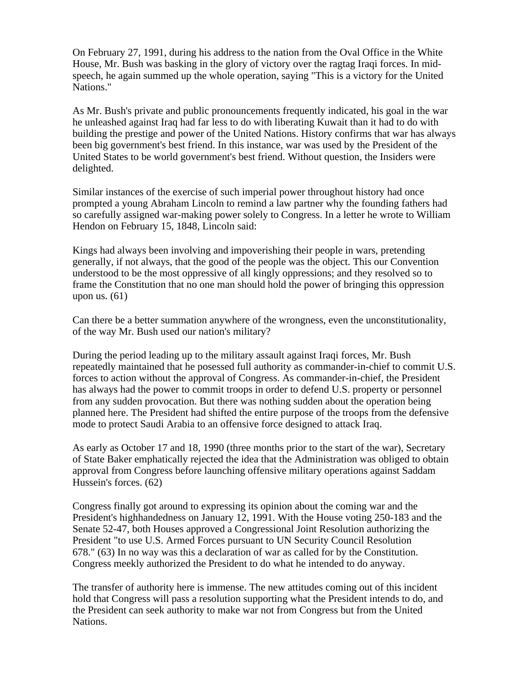On February 27, 1991, during his address to the nation from the Oval Office in the White House, Mr. Bush was basking in the glory of victory over the ragtag Iraqi forces. In midspeech, he again summed up the whole operation, saying "This is a victory for the United Nations."

As Mr. Bush's private and public pronouncements frequently indicated, his goal in the war he unleashed against Iraq had far less to do with liberating Kuwait than it had to do with building the prestige and power of the United Nations. History confirms that war has always been big government's best friend. In this instance, war was used by the President of the United States to be world government's best friend. Without question, the Insiders were delighted.

Similar instances of the exercise of such imperial power throughout history had once prompted a young Abraham Lincoln to remind a law partner why the founding fathers had so carefully assigned war-making power solely to Congress. In a letter he wrote to William Hendon on February 15, 1848, Lincoln said:

Kings had always been involving and impoverishing their people in wars, pretending generally, if not always, that the good of the people was the object. This our Convention understood to be the most oppressive of all kingly oppressions; and they resolved so to frame the Constitution that no one man should hold the power of bringing this oppression upon us.  $(61)$ 

Can there be a better summation anywhere of the wrongness, even the unconstitutionality, of the way Mr. Bush used our nation's military?

During the period leading up to the military assault against Iraqi forces, Mr. Bush repeatedly maintained that he posessed full authority as commander-in-chief to commit U.S. forces to action without the approval of Congress. As commander-in-chief, the President has always had the power to commit troops in order to defend U.S. property or personnel from any sudden provocation. But there was nothing sudden about the operation being planned here. The President had shifted the entire purpose of the troops from the defensive mode to protect Saudi Arabia to an offensive force designed to attack Iraq.

As early as October 17 and 18, 1990 (three months prior to the start of the war), Secretary of State Baker emphatically rejected the idea that the Administration was obliged to obtain approval from Congress before launching offensive military operations against Saddam Hussein's forces. (62)

Congress finally got around to expressing its opinion about the coming war and the President's highhandedness on January 12, 1991. With the House voting 250-183 and the Senate 52-47, both Houses approved a Congressional Joint Resolution authorizing the President "to use U.S. Armed Forces pursuant to UN Security Council Resolution 678." (63) In no way was this a declaration of war as called for by the Constitution. Congress meekly authorized the President to do what he intended to do anyway.

The transfer of authority here is immense. The new attitudes coming out of this incident hold that Congress will pass a resolution supporting what the President intends to do, and the President can seek authority to make war not from Congress but from the United Nations.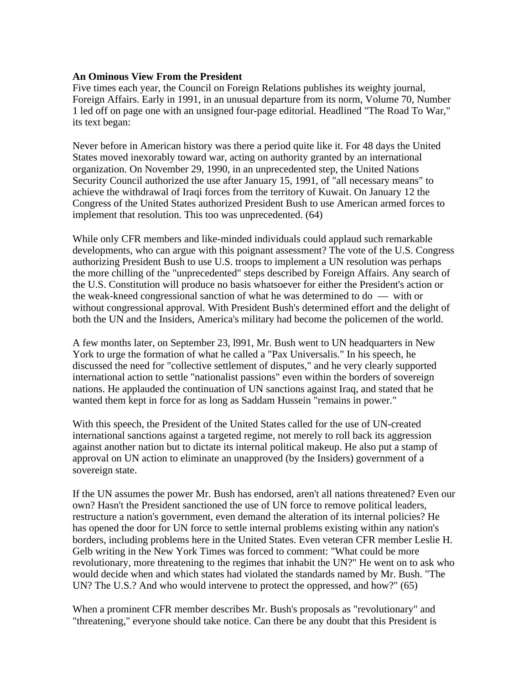## **An Ominous View From the President**

Five times each year, the Council on Foreign Relations publishes its weighty journal, Foreign Affairs. Early in 1991, in an unusual departure from its norm, Volume 70, Number 1 led off on page one with an unsigned four-page editorial. Headlined "The Road To War," its text began:

Never before in American history was there a period quite like it. For 48 days the United States moved inexorably toward war, acting on authority granted by an international organization. On November 29, 1990, in an unprecedented step, the United Nations Security Council authorized the use after January 15, 1991, of "all necessary means" to achieve the withdrawal of Iraqi forces from the territory of Kuwait. On January 12 the Congress of the United States authorized President Bush to use American armed forces to implement that resolution. This too was unprecedented. (64)

While only CFR members and like-minded individuals could applaud such remarkable developments, who can argue with this poignant assessment? The vote of the U.S. Congress authorizing President Bush to use U.S. troops to implement a UN resolution was perhaps the more chilling of the "unprecedented" steps described by Foreign Affairs. Any search of the U.S. Constitution will produce no basis whatsoever for either the President's action or the weak-kneed congressional sanction of what he was determined to do — with or without congressional approval. With President Bush's determined effort and the delight of both the UN and the Insiders, America's military had become the policemen of the world.

A few months later, on September 23, l991, Mr. Bush went to UN headquarters in New York to urge the formation of what he called a "Pax Universalis." In his speech, he discussed the need for "collective settlement of disputes," and he very clearly supported international action to settle "nationalist passions" even within the borders of sovereign nations. He applauded the continuation of UN sanctions against Iraq, and stated that he wanted them kept in force for as long as Saddam Hussein "remains in power."

With this speech, the President of the United States called for the use of UN-created international sanctions against a targeted regime, not merely to roll back its aggression against another nation but to dictate its internal political makeup. He also put a stamp of approval on UN action to eliminate an unapproved (by the Insiders) government of a sovereign state.

If the UN assumes the power Mr. Bush has endorsed, aren't all nations threatened? Even our own? Hasn't the President sanctioned the use of UN force to remove political leaders, restructure a nation's government, even demand the alteration of its internal policies? He has opened the door for UN force to settle internal problems existing within any nation's borders, including problems here in the United States. Even veteran CFR member Leslie H. Gelb writing in the New York Times was forced to comment: "What could be more revolutionary, more threatening to the regimes that inhabit the UN?" He went on to ask who would decide when and which states had violated the standards named by Mr. Bush. "The UN? The U.S.? And who would intervene to protect the oppressed, and how?" (65)

When a prominent CFR member describes Mr. Bush's proposals as "revolutionary" and "threatening," everyone should take notice. Can there be any doubt that this President is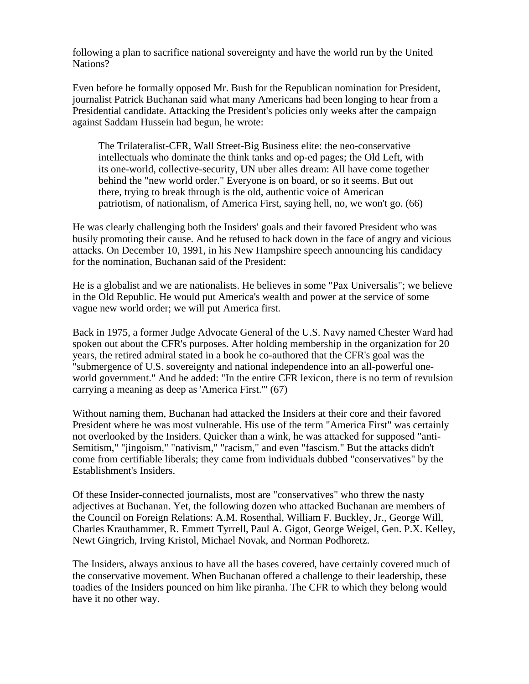following a plan to sacrifice national sovereignty and have the world run by the United Nations?

Even before he formally opposed Mr. Bush for the Republican nomination for President, journalist Patrick Buchanan said what many Americans had been longing to hear from a Presidential candidate. Attacking the President's policies only weeks after the campaign against Saddam Hussein had begun, he wrote:

The Trilateralist-CFR, Wall Street-Big Business elite: the neo-conservative intellectuals who dominate the think tanks and op-ed pages; the Old Left, with its one-world, collective-security, UN uber alles dream: All have come together behind the "new world order." Everyone is on board, or so it seems. But out there, trying to break through is the old, authentic voice of American patriotism, of nationalism, of America First, saying hell, no, we won't go. (66)

He was clearly challenging both the Insiders' goals and their favored President who was busily promoting their cause. And he refused to back down in the face of angry and vicious attacks. On December 10, 1991, in his New Hampshire speech announcing his candidacy for the nomination, Buchanan said of the President:

He is a globalist and we are nationalists. He believes in some "Pax Universalis"; we believe in the Old Republic. He would put America's wealth and power at the service of some vague new world order; we will put America first.

Back in 1975, a former Judge Advocate General of the U.S. Navy named Chester Ward had spoken out about the CFR's purposes. After holding membership in the organization for 20 years, the retired admiral stated in a book he co-authored that the CFR's goal was the "submergence of U.S. sovereignty and national independence into an all-powerful oneworld government." And he added: "In the entire CFR lexicon, there is no term of revulsion carrying a meaning as deep as 'America First.'" (67)

Without naming them, Buchanan had attacked the Insiders at their core and their favored President where he was most vulnerable. His use of the term "America First" was certainly not overlooked by the Insiders. Quicker than a wink, he was attacked for supposed "anti-Semitism," "jingoism," "nativism," "racism," and even "fascism." But the attacks didn't come from certifiable liberals; they came from individuals dubbed "conservatives" by the Establishment's Insiders.

Of these Insider-connected journalists, most are "conservatives" who threw the nasty adjectives at Buchanan. Yet, the following dozen who attacked Buchanan are members of the Council on Foreign Relations: A.M. Rosenthal, William F. Buckley, Jr., George Will, Charles Krauthammer, R. Emmett Tyrrell, Paul A. Gigot, George Weigel, Gen. P.X. Kelley, Newt Gingrich, Irving Kristol, Michael Novak, and Norman Podhoretz.

The Insiders, always anxious to have all the bases covered, have certainly covered much of the conservative movement. When Buchanan offered a challenge to their leadership, these toadies of the Insiders pounced on him like piranha. The CFR to which they belong would have it no other way.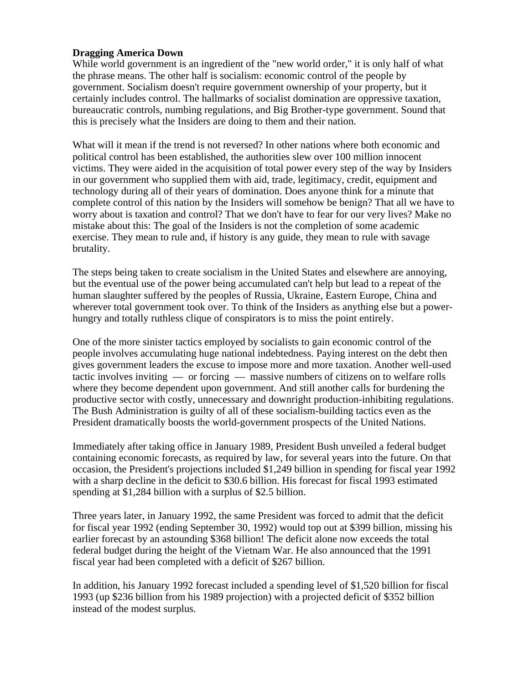## **Dragging America Down**

While world government is an ingredient of the "new world order," it is only half of what the phrase means. The other half is socialism: economic control of the people by government. Socialism doesn't require government ownership of your property, but it certainly includes control. The hallmarks of socialist domination are oppressive taxation, bureaucratic controls, numbing regulations, and Big Brother-type government. Sound that this is precisely what the Insiders are doing to them and their nation.

What will it mean if the trend is not reversed? In other nations where both economic and political control has been established, the authorities slew over 100 million innocent victims. They were aided in the acquisition of total power every step of the way by Insiders in our government who supplied them with aid, trade, legitimacy, credit, equipment and technology during all of their years of domination. Does anyone think for a minute that complete control of this nation by the Insiders will somehow be benign? That all we have to worry about is taxation and control? That we don't have to fear for our very lives? Make no mistake about this: The goal of the Insiders is not the completion of some academic exercise. They mean to rule and, if history is any guide, they mean to rule with savage brutality.

The steps being taken to create socialism in the United States and elsewhere are annoying, but the eventual use of the power being accumulated can't help but lead to a repeat of the human slaughter suffered by the peoples of Russia, Ukraine, Eastern Europe, China and wherever total government took over. To think of the Insiders as anything else but a powerhungry and totally ruthless clique of conspirators is to miss the point entirely.

One of the more sinister tactics employed by socialists to gain economic control of the people involves accumulating huge national indebtedness. Paying interest on the debt then gives government leaders the excuse to impose more and more taxation. Another well-used tactic involves inviting — or forcing — massive numbers of citizens on to welfare rolls where they become dependent upon government. And still another calls for burdening the productive sector with costly, unnecessary and downright production-inhibiting regulations. The Bush Administration is guilty of all of these socialism-building tactics even as the President dramatically boosts the world-government prospects of the United Nations.

Immediately after taking office in January 1989, President Bush unveiled a federal budget containing economic forecasts, as required by law, for several years into the future. On that occasion, the President's projections included \$1,249 billion in spending for fiscal year 1992 with a sharp decline in the deficit to \$30.6 billion. His forecast for fiscal 1993 estimated spending at \$1,284 billion with a surplus of \$2.5 billion.

Three years later, in January 1992, the same President was forced to admit that the deficit for fiscal year 1992 (ending September 30, 1992) would top out at \$399 billion, missing his earlier forecast by an astounding \$368 billion! The deficit alone now exceeds the total federal budget during the height of the Vietnam War. He also announced that the 1991 fiscal year had been completed with a deficit of \$267 billion.

In addition, his January 1992 forecast included a spending level of \$1,520 billion for fiscal 1993 (up \$236 billion from his 1989 projection) with a projected deficit of \$352 billion instead of the modest surplus.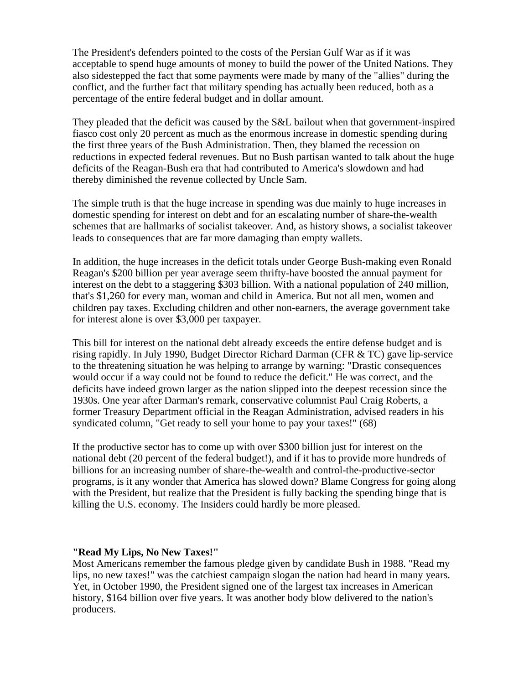The President's defenders pointed to the costs of the Persian Gulf War as if it was acceptable to spend huge amounts of money to build the power of the United Nations. They also sidestepped the fact that some payments were made by many of the "allies" during the conflict, and the further fact that military spending has actually been reduced, both as a percentage of the entire federal budget and in dollar amount.

They pleaded that the deficit was caused by the S&L bailout when that government-inspired fiasco cost only 20 percent as much as the enormous increase in domestic spending during the first three years of the Bush Administration. Then, they blamed the recession on reductions in expected federal revenues. But no Bush partisan wanted to talk about the huge deficits of the Reagan-Bush era that had contributed to America's slowdown and had thereby diminished the revenue collected by Uncle Sam.

The simple truth is that the huge increase in spending was due mainly to huge increases in domestic spending for interest on debt and for an escalating number of share-the-wealth schemes that are hallmarks of socialist takeover. And, as history shows, a socialist takeover leads to consequences that are far more damaging than empty wallets.

In addition, the huge increases in the deficit totals under George Bush-making even Ronald Reagan's \$200 billion per year average seem thrifty-have boosted the annual payment for interest on the debt to a staggering \$303 billion. With a national population of 240 million, that's \$1,260 for every man, woman and child in America. But not all men, women and children pay taxes. Excluding children and other non-earners, the average government take for interest alone is over \$3,000 per taxpayer.

This bill for interest on the national debt already exceeds the entire defense budget and is rising rapidly. In July 1990, Budget Director Richard Darman (CFR & TC) gave lip-service to the threatening situation he was helping to arrange by warning: "Drastic consequences would occur if a way could not be found to reduce the deficit." He was correct, and the deficits have indeed grown larger as the nation slipped into the deepest recession since the 1930s. One year after Darman's remark, conservative columnist Paul Craig Roberts, a former Treasury Department official in the Reagan Administration, advised readers in his syndicated column, "Get ready to sell your home to pay your taxes!" (68)

If the productive sector has to come up with over \$300 billion just for interest on the national debt (20 percent of the federal budget!), and if it has to provide more hundreds of billions for an increasing number of share-the-wealth and control-the-productive-sector programs, is it any wonder that America has slowed down? Blame Congress for going along with the President, but realize that the President is fully backing the spending binge that is killing the U.S. economy. The Insiders could hardly be more pleased.

## **"Read My Lips, No New Taxes!"**

Most Americans remember the famous pledge given by candidate Bush in 1988. "Read my lips, no new taxes!" was the catchiest campaign slogan the nation had heard in many years. Yet, in October 1990, the President signed one of the largest tax increases in American history, \$164 billion over five years. It was another body blow delivered to the nation's producers.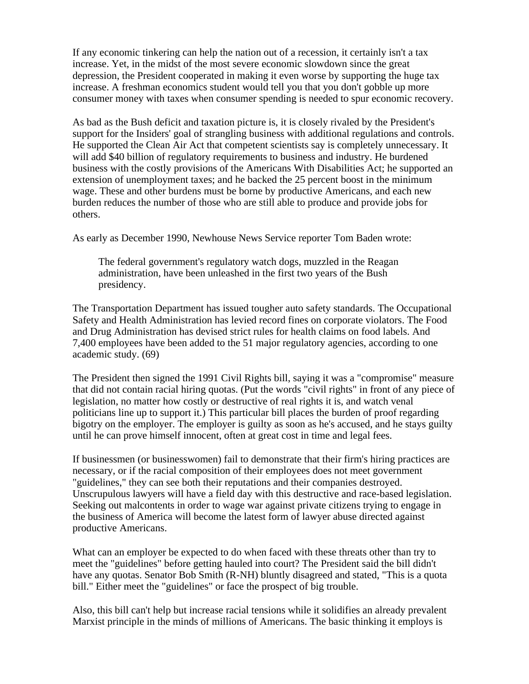If any economic tinkering can help the nation out of a recession, it certainly isn't a tax increase. Yet, in the midst of the most severe economic slowdown since the great depression, the President cooperated in making it even worse by supporting the huge tax increase. A freshman economics student would tell you that you don't gobble up more consumer money with taxes when consumer spending is needed to spur economic recovery.

As bad as the Bush deficit and taxation picture is, it is closely rivaled by the President's support for the Insiders' goal of strangling business with additional regulations and controls. He supported the Clean Air Act that competent scientists say is completely unnecessary. It will add \$40 billion of regulatory requirements to business and industry. He burdened business with the costly provisions of the Americans With Disabilities Act; he supported an extension of unemployment taxes; and he backed the 25 percent boost in the minimum wage. These and other burdens must be borne by productive Americans, and each new burden reduces the number of those who are still able to produce and provide jobs for others.

As early as December 1990, Newhouse News Service reporter Tom Baden wrote:

The federal government's regulatory watch dogs, muzzled in the Reagan administration, have been unleashed in the first two years of the Bush presidency.

The Transportation Department has issued tougher auto safety standards. The Occupational Safety and Health Administration has levied record fines on corporate violators. The Food and Drug Administration has devised strict rules for health claims on food labels. And 7,400 employees have been added to the 51 major regulatory agencies, according to one academic study. (69)

The President then signed the 1991 Civil Rights bill, saying it was a "compromise" measure that did not contain racial hiring quotas. (Put the words "civil rights" in front of any piece of legislation, no matter how costly or destructive of real rights it is, and watch venal politicians line up to support it.) This particular bill places the burden of proof regarding bigotry on the employer. The employer is guilty as soon as he's accused, and he stays guilty until he can prove himself innocent, often at great cost in time and legal fees.

If businessmen (or businesswomen) fail to demonstrate that their firm's hiring practices are necessary, or if the racial composition of their employees does not meet government "guidelines," they can see both their reputations and their companies destroyed. Unscrupulous lawyers will have a field day with this destructive and race-based legislation. Seeking out malcontents in order to wage war against private citizens trying to engage in the business of America will become the latest form of lawyer abuse directed against productive Americans.

What can an employer be expected to do when faced with these threats other than try to meet the "guidelines" before getting hauled into court? The President said the bill didn't have any quotas. Senator Bob Smith (R-NH) bluntly disagreed and stated, "This is a quota bill." Either meet the "guidelines" or face the prospect of big trouble.

Also, this bill can't help but increase racial tensions while it solidifies an already prevalent Marxist principle in the minds of millions of Americans. The basic thinking it employs is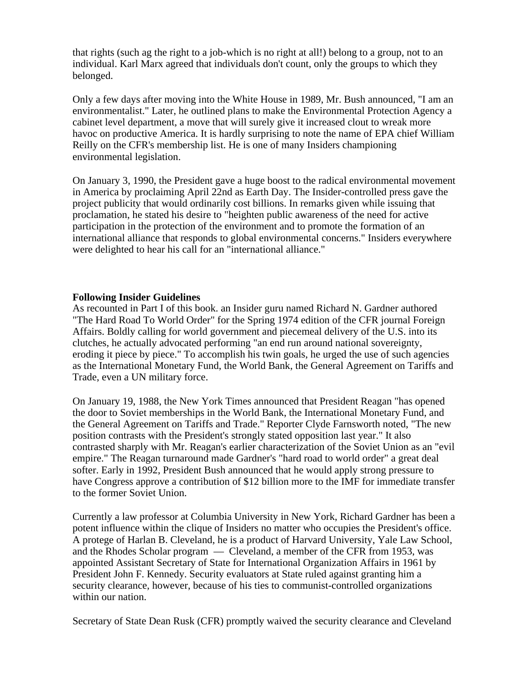that rights (such ag the right to a job-which is no right at all!) belong to a group, not to an individual. Karl Marx agreed that individuals don't count, only the groups to which they belonged.

Only a few days after moving into the White House in 1989, Mr. Bush announced, "I am an environmentalist." Later, he outlined plans to make the Environmental Protection Agency a cabinet level department, a move that will surely give it increased clout to wreak more havoc on productive America. It is hardly surprising to note the name of EPA chief William Reilly on the CFR's membership list. He is one of many Insiders championing environmental legislation.

On January 3, 1990, the President gave a huge boost to the radical environmental movement in America by proclaiming April 22nd as Earth Day. The Insider-controlled press gave the project publicity that would ordinarily cost billions. In remarks given while issuing that proclamation, he stated his desire to "heighten public awareness of the need for active participation in the protection of the environment and to promote the formation of an international alliance that responds to global environmental concerns." Insiders everywhere were delighted to hear his call for an "international alliance."

## **Following Insider Guidelines**

As recounted in Part I of this book. an Insider guru named Richard N. Gardner authored "The Hard Road To World Order" for the Spring 1974 edition of the CFR journal Foreign Affairs. Boldly calling for world government and piecemeal delivery of the U.S. into its clutches, he actually advocated performing "an end run around national sovereignty, eroding it piece by piece." To accomplish his twin goals, he urged the use of such agencies as the International Monetary Fund, the World Bank, the General Agreement on Tariffs and Trade, even a UN military force.

On January 19, 1988, the New York Times announced that President Reagan "has opened the door to Soviet memberships in the World Bank, the International Monetary Fund, and the General Agreement on Tariffs and Trade." Reporter Clyde Farnsworth noted, "The new position contrasts with the President's strongly stated opposition last year." It also contrasted sharply with Mr. Reagan's earlier characterization of the Soviet Union as an "evil empire." The Reagan turnaround made Gardner's "hard road to world order" a great deal softer. Early in 1992, President Bush announced that he would apply strong pressure to have Congress approve a contribution of \$12 billion more to the IMF for immediate transfer to the former Soviet Union.

Currently a law professor at Columbia University in New York, Richard Gardner has been a potent influence within the clique of Insiders no matter who occupies the President's office. A protege of Harlan B. Cleveland, he is a product of Harvard University, Yale Law School, and the Rhodes Scholar program — Cleveland, a member of the CFR from 1953, was appointed Assistant Secretary of State for International Organization Affairs in 1961 by President John F. Kennedy. Security evaluators at State ruled against granting him a security clearance, however, because of his ties to communist-controlled organizations within our nation.

Secretary of State Dean Rusk (CFR) promptly waived the security clearance and Cleveland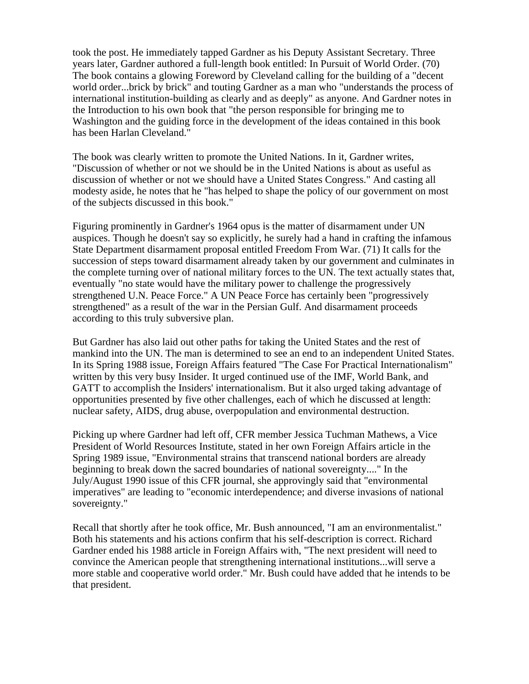took the post. He immediately tapped Gardner as his Deputy Assistant Secretary. Three years later, Gardner authored a full-length book entitled: In Pursuit of World Order. (70) The book contains a glowing Foreword by Cleveland calling for the building of a "decent world order...brick by brick" and touting Gardner as a man who "understands the process of international institution-building as clearly and as deeply" as anyone. And Gardner notes in the Introduction to his own book that "the person responsible for bringing me to Washington and the guiding force in the development of the ideas contained in this book has been Harlan Cleveland."

The book was clearly written to promote the United Nations. In it, Gardner writes, "Discussion of whether or not we should be in the United Nations is about as useful as discussion of whether or not we should have a United States Congress." And casting all modesty aside, he notes that he "has helped to shape the policy of our government on most of the subjects discussed in this book."

Figuring prominently in Gardner's 1964 opus is the matter of disarmament under UN auspices. Though he doesn't say so explicitly, he surely had a hand in crafting the infamous State Department disarmament proposal entitled Freedom From War. (71) It calls for the succession of steps toward disarmament already taken by our government and culminates in the complete turning over of national military forces to the UN. The text actually states that, eventually "no state would have the military power to challenge the progressively strengthened U.N. Peace Force." A UN Peace Force has certainly been "progressively strengthened" as a result of the war in the Persian Gulf. And disarmament proceeds according to this truly subversive plan.

But Gardner has also laid out other paths for taking the United States and the rest of mankind into the UN. The man is determined to see an end to an independent United States. In its Spring 1988 issue, Foreign Affairs featured "The Case For Practical Internationalism" written by this very busy Insider. It urged continued use of the IMF, World Bank, and GATT to accomplish the Insiders' internationalism. But it also urged taking advantage of opportunities presented by five other challenges, each of which he discussed at length: nuclear safety, AIDS, drug abuse, overpopulation and environmental destruction.

Picking up where Gardner had left off, CFR member Jessica Tuchman Mathews, a Vice President of World Resources Institute, stated in her own Foreign Affairs article in the Spring 1989 issue, "Environmental strains that transcend national borders are already beginning to break down the sacred boundaries of national sovereignty...." In the July/August 1990 issue of this CFR journal, she approvingly said that "environmental imperatives" are leading to "economic interdependence; and diverse invasions of national sovereignty."

Recall that shortly after he took office, Mr. Bush announced, "I am an environmentalist." Both his statements and his actions confirm that his self-description is correct. Richard Gardner ended his 1988 article in Foreign Affairs with, "The next president will need to convince the American people that strengthening international institutions...will serve a more stable and cooperative world order." Mr. Bush could have added that he intends to be that president.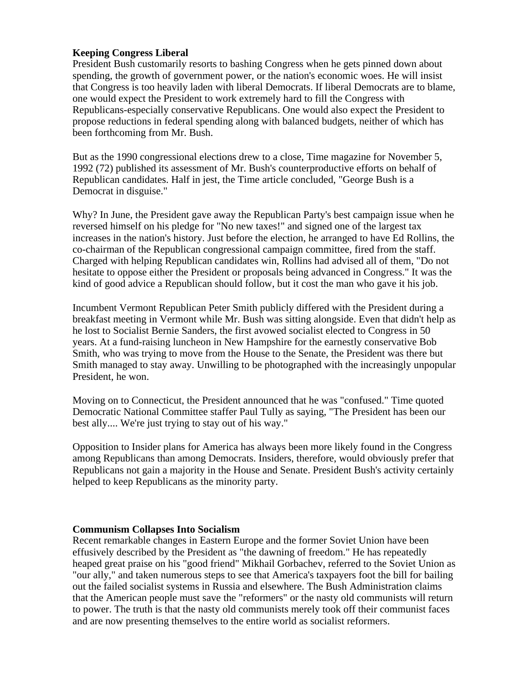## **Keeping Congress Liberal**

President Bush customarily resorts to bashing Congress when he gets pinned down about spending, the growth of government power, or the nation's economic woes. He will insist that Congress is too heavily laden with liberal Democrats. If liberal Democrats are to blame, one would expect the President to work extremely hard to fill the Congress with Republicans-especially conservative Republicans. One would also expect the President to propose reductions in federal spending along with balanced budgets, neither of which has been forthcoming from Mr. Bush.

But as the 1990 congressional elections drew to a close, Time magazine for November 5, 1992 (72) published its assessment of Mr. Bush's counterproductive efforts on behalf of Republican candidates. Half in jest, the Time article concluded, "George Bush is a Democrat in disguise."

Why? In June, the President gave away the Republican Party's best campaign issue when he reversed himself on his pledge for "No new taxes!" and signed one of the largest tax increases in the nation's history. Just before the election, he arranged to have Ed Rollins, the co-chairman of the Republican congressional campaign committee, fired from the staff. Charged with helping Republican candidates win, Rollins had advised all of them, "Do not hesitate to oppose either the President or proposals being advanced in Congress." It was the kind of good advice a Republican should follow, but it cost the man who gave it his job.

Incumbent Vermont Republican Peter Smith publicly differed with the President during a breakfast meeting in Vermont while Mr. Bush was sitting alongside. Even that didn't help as he lost to Socialist Bernie Sanders, the first avowed socialist elected to Congress in 50 years. At a fund-raising luncheon in New Hampshire for the earnestly conservative Bob Smith, who was trying to move from the House to the Senate, the President was there but Smith managed to stay away. Unwilling to be photographed with the increasingly unpopular President, he won.

Moving on to Connecticut, the President announced that he was "confused." Time quoted Democratic National Committee staffer Paul Tully as saying, "The President has been our best ally.... We're just trying to stay out of his way."

Opposition to Insider plans for America has always been more likely found in the Congress among Republicans than among Democrats. Insiders, therefore, would obviously prefer that Republicans not gain a majority in the House and Senate. President Bush's activity certainly helped to keep Republicans as the minority party.

## **Communism Collapses Into Socialism**

Recent remarkable changes in Eastern Europe and the former Soviet Union have been effusively described by the President as "the dawning of freedom." He has repeatedly heaped great praise on his "good friend" Mikhail Gorbachev, referred to the Soviet Union as "our ally," and taken numerous steps to see that America's taxpayers foot the bill for bailing out the failed socialist systems in Russia and elsewhere. The Bush Administration claims that the American people must save the "reformers" or the nasty old communists will return to power. The truth is that the nasty old communists merely took off their communist faces and are now presenting themselves to the entire world as socialist reformers.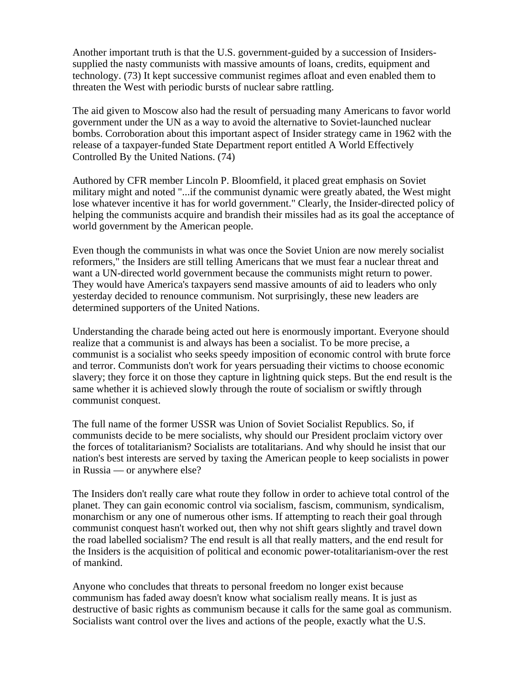Another important truth is that the U.S. government-guided by a succession of Insiderssupplied the nasty communists with massive amounts of loans, credits, equipment and technology. (73) It kept successive communist regimes afloat and even enabled them to threaten the West with periodic bursts of nuclear sabre rattling.

The aid given to Moscow also had the result of persuading many Americans to favor world government under the UN as a way to avoid the alternative to Soviet-launched nuclear bombs. Corroboration about this important aspect of Insider strategy came in 1962 with the release of a taxpayer-funded State Department report entitled A World Effectively Controlled By the United Nations. (74)

Authored by CFR member Lincoln P. Bloomfield, it placed great emphasis on Soviet military might and noted "...if the communist dynamic were greatly abated, the West might lose whatever incentive it has for world government." Clearly, the Insider-directed policy of helping the communists acquire and brandish their missiles had as its goal the acceptance of world government by the American people.

Even though the communists in what was once the Soviet Union are now merely socialist reformers," the Insiders are still telling Americans that we must fear a nuclear threat and want a UN-directed world government because the communists might return to power. They would have America's taxpayers send massive amounts of aid to leaders who only yesterday decided to renounce communism. Not surprisingly, these new leaders are determined supporters of the United Nations.

Understanding the charade being acted out here is enormously important. Everyone should realize that a communist is and always has been a socialist. To be more precise, a communist is a socialist who seeks speedy imposition of economic control with brute force and terror. Communists don't work for years persuading their victims to choose economic slavery; they force it on those they capture in lightning quick steps. But the end result is the same whether it is achieved slowly through the route of socialism or swiftly through communist conquest.

The full name of the former USSR was Union of Soviet Socialist Republics. So, if communists decide to be mere socialists, why should our President proclaim victory over the forces of totalitarianism? Socialists are totalitarians. And why should he insist that our nation's best interests are served by taxing the American people to keep socialists in power in Russia — or anywhere else?

The Insiders don't really care what route they follow in order to achieve total control of the planet. They can gain economic control via socialism, fascism, communism, syndicalism, monarchism or any one of numerous other isms. If attempting to reach their goal through communist conquest hasn't worked out, then why not shift gears slightly and travel down the road labelled socialism? The end result is all that really matters, and the end result for the Insiders is the acquisition of political and economic power-totalitarianism-over the rest of mankind.

Anyone who concludes that threats to personal freedom no longer exist because communism has faded away doesn't know what socialism really means. It is just as destructive of basic rights as communism because it calls for the same goal as communism. Socialists want control over the lives and actions of the people, exactly what the U.S.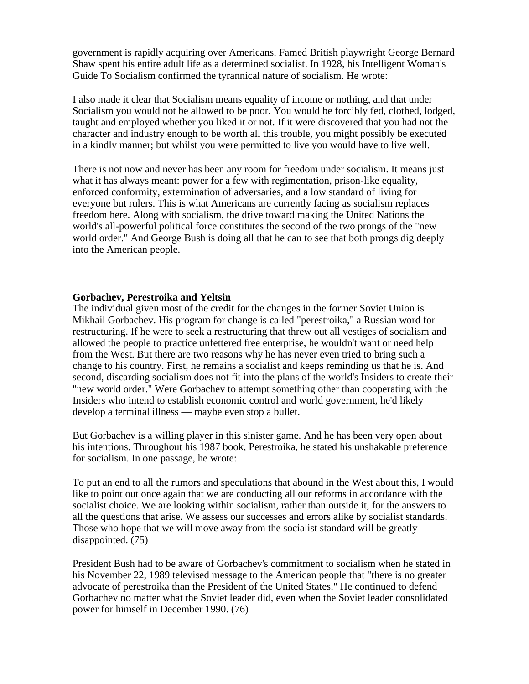government is rapidly acquiring over Americans. Famed British playwright George Bernard Shaw spent his entire adult life as a determined socialist. In 1928, his Intelligent Woman's Guide To Socialism confirmed the tyrannical nature of socialism. He wrote:

I also made it clear that Socialism means equality of income or nothing, and that under Socialism you would not be allowed to be poor. You would be forcibly fed, clothed, lodged, taught and employed whether you liked it or not. If it were discovered that you had not the character and industry enough to be worth all this trouble, you might possibly be executed in a kindly manner; but whilst you were permitted to live you would have to live well.

There is not now and never has been any room for freedom under socialism. It means just what it has always meant: power for a few with regimentation, prison-like equality, enforced conformity, extermination of adversaries, and a low standard of living for everyone but rulers. This is what Americans are currently facing as socialism replaces freedom here. Along with socialism, the drive toward making the United Nations the world's all-powerful political force constitutes the second of the two prongs of the "new world order." And George Bush is doing all that he can to see that both prongs dig deeply into the American people.

## **Gorbachev, Perestroika and Yeltsin**

The individual given most of the credit for the changes in the former Soviet Union is Mikhail Gorbachev. His program for change is called "perestroika," a Russian word for restructuring. If he were to seek a restructuring that threw out all vestiges of socialism and allowed the people to practice unfettered free enterprise, he wouldn't want or need help from the West. But there are two reasons why he has never even tried to bring such a change to his country. First, he remains a socialist and keeps reminding us that he is. And second, discarding socialism does not fit into the plans of the world's Insiders to create their "new world order." Were Gorbachev to attempt something other than cooperating with the Insiders who intend to establish economic control and world government, he'd likely develop a terminal illness — maybe even stop a bullet.

But Gorbachev is a willing player in this sinister game. And he has been very open about his intentions. Throughout his 1987 book, Perestroika, he stated his unshakable preference for socialism. In one passage, he wrote:

To put an end to all the rumors and speculations that abound in the West about this, I would like to point out once again that we are conducting all our reforms in accordance with the socialist choice. We are looking within socialism, rather than outside it, for the answers to all the questions that arise. We assess our successes and errors alike by socialist standards. Those who hope that we will move away from the socialist standard will be greatly disappointed. (75)

President Bush had to be aware of Gorbachev's commitment to socialism when he stated in his November 22, 1989 televised message to the American people that "there is no greater advocate of perestroika than the President of the United States." He continued to defend Gorbachev no matter what the Soviet leader did, even when the Soviet leader consolidated power for himself in December 1990. (76)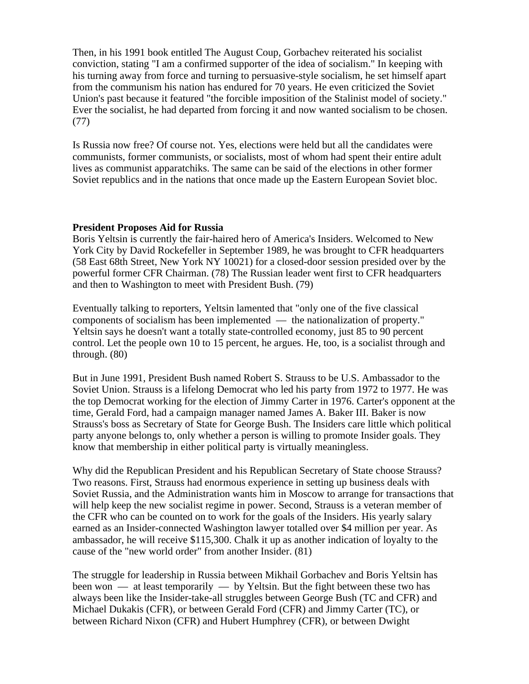Then, in his 1991 book entitled The August Coup, Gorbachev reiterated his socialist conviction, stating "I am a confirmed supporter of the idea of socialism." In keeping with his turning away from force and turning to persuasive-style socialism, he set himself apart from the communism his nation has endured for 70 years. He even criticized the Soviet Union's past because it featured "the forcible imposition of the Stalinist model of society." Ever the socialist, he had departed from forcing it and now wanted socialism to be chosen. (77)

Is Russia now free? Of course not. Yes, elections were held but all the candidates were communists, former communists, or socialists, most of whom had spent their entire adult lives as communist apparatchiks. The same can be said of the elections in other former Soviet republics and in the nations that once made up the Eastern European Soviet bloc.

## **President Proposes Aid for Russia**

Boris Yeltsin is currently the fair-haired hero of America's Insiders. Welcomed to New York City by David Rockefeller in September 1989, he was brought to CFR headquarters (58 East 68th Street, New York NY 10021) for a closed-door session presided over by the powerful former CFR Chairman. (78) The Russian leader went first to CFR headquarters and then to Washington to meet with President Bush. (79)

Eventually talking to reporters, Yeltsin lamented that "only one of the five classical components of socialism has been implemented — the nationalization of property." Yeltsin says he doesn't want a totally state-controlled economy, just 85 to 90 percent control. Let the people own 10 to 15 percent, he argues. He, too, is a socialist through and through. (80)

But in June 1991, President Bush named Robert S. Strauss to be U.S. Ambassador to the Soviet Union. Strauss is a lifelong Democrat who led his party from 1972 to 1977. He was the top Democrat working for the election of Jimmy Carter in 1976. Carter's opponent at the time, Gerald Ford, had a campaign manager named James A. Baker III. Baker is now Strauss's boss as Secretary of State for George Bush. The Insiders care little which political party anyone belongs to, only whether a person is willing to promote Insider goals. They know that membership in either political party is virtually meaningless.

Why did the Republican President and his Republican Secretary of State choose Strauss? Two reasons. First, Strauss had enormous experience in setting up business deals with Soviet Russia, and the Administration wants him in Moscow to arrange for transactions that will help keep the new socialist regime in power. Second, Strauss is a veteran member of the CFR who can be counted on to work for the goals of the Insiders. His yearly salary earned as an Insider-connected Washington lawyer totalled over \$4 million per year. As ambassador, he will receive \$115,300. Chalk it up as another indication of loyalty to the cause of the "new world order" from another Insider. (81)

The struggle for leadership in Russia between Mikhail Gorbachev and Boris Yeltsin has been won — at least temporarily — by Yeltsin. But the fight between these two has always been like the Insider-take-all struggles between George Bush (TC and CFR) and Michael Dukakis (CFR), or between Gerald Ford (CFR) and Jimmy Carter (TC), or between Richard Nixon (CFR) and Hubert Humphrey (CFR), or between Dwight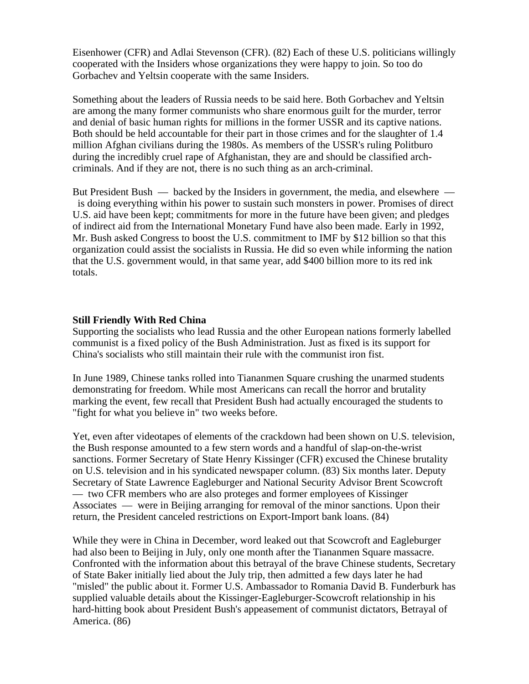Eisenhower (CFR) and Adlai Stevenson (CFR). (82) Each of these U.S. politicians willingly cooperated with the Insiders whose organizations they were happy to join. So too do Gorbachev and Yeltsin cooperate with the same Insiders.

Something about the leaders of Russia needs to be said here. Both Gorbachev and Yeltsin are among the many former communists who share enormous guilt for the murder, terror and denial of basic human rights for millions in the former USSR and its captive nations. Both should be held accountable for their part in those crimes and for the slaughter of 1.4 million Afghan civilians during the 1980s. As members of the USSR's ruling Politburo during the incredibly cruel rape of Afghanistan, they are and should be classified archcriminals. And if they are not, there is no such thing as an arch-criminal.

But President Bush — backed by the Insiders in government, the media, and elsewhere is doing everything within his power to sustain such monsters in power. Promises of direct U.S. aid have been kept; commitments for more in the future have been given; and pledges of indirect aid from the International Monetary Fund have also been made. Early in 1992, Mr. Bush asked Congress to boost the U.S. commitment to IMF by \$12 billion so that this organization could assist the socialists in Russia. He did so even while informing the nation that the U.S. government would, in that same year, add \$400 billion more to its red ink totals.

## **Still Friendly With Red China**

Supporting the socialists who lead Russia and the other European nations formerly labelled communist is a fixed policy of the Bush Administration. Just as fixed is its support for China's socialists who still maintain their rule with the communist iron fist.

In June 1989, Chinese tanks rolled into Tiananmen Square crushing the unarmed students demonstrating for freedom. While most Americans can recall the horror and brutality marking the event, few recall that President Bush had actually encouraged the students to "fight for what you believe in" two weeks before.

Yet, even after videotapes of elements of the crackdown had been shown on U.S. television, the Bush response amounted to a few stern words and a handful of slap-on-the-wrist sanctions. Former Secretary of State Henry Kissinger (CFR) excused the Chinese brutality on U.S. television and in his syndicated newspaper column. (83) Six months later. Deputy Secretary of State Lawrence Eagleburger and National Security Advisor Brent Scowcroft — two CFR members who are also proteges and former employees of Kissinger Associates — were in Beijing arranging for removal of the minor sanctions. Upon their return, the President canceled restrictions on Export-Import bank loans. (84)

While they were in China in December, word leaked out that Scowcroft and Eagleburger had also been to Beijing in July, only one month after the Tiananmen Square massacre. Confronted with the information about this betrayal of the brave Chinese students, Secretary of State Baker initially lied about the July trip, then admitted a few days later he had "misled" the public about it. Former U.S. Ambassador to Romania David B. Funderburk has supplied valuable details about the Kissinger-Eagleburger-Scowcroft relationship in his hard-hitting book about President Bush's appeasement of communist dictators, Betrayal of America. (86)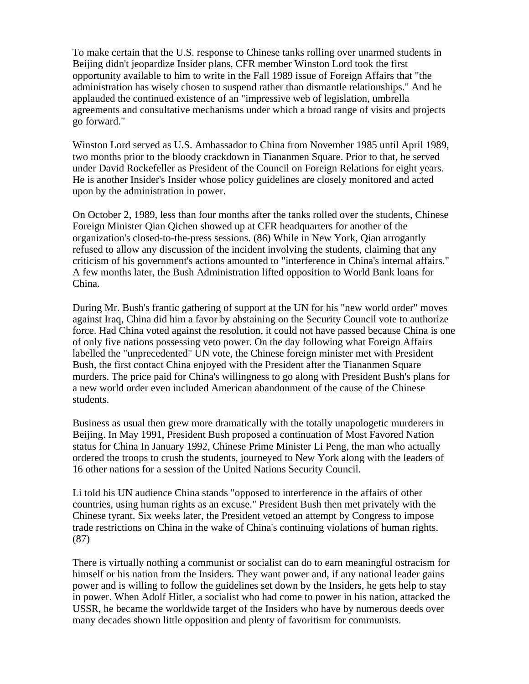To make certain that the U.S. response to Chinese tanks rolling over unarmed students in Beijing didn't jeopardize Insider plans, CFR member Winston Lord took the first opportunity available to him to write in the Fall 1989 issue of Foreign Affairs that "the administration has wisely chosen to suspend rather than dismantle relationships." And he applauded the continued existence of an "impressive web of legislation, umbrella agreements and consultative mechanisms under which a broad range of visits and projects go forward."

Winston Lord served as U.S. Ambassador to China from November 1985 until April 1989, two months prior to the bloody crackdown in Tiananmen Square. Prior to that, he served under David Rockefeller as President of the Council on Foreign Relations for eight years. He is another Insider's Insider whose policy guidelines are closely monitored and acted upon by the administration in power.

On October 2, 1989, less than four months after the tanks rolled over the students, Chinese Foreign Minister Qian Qichen showed up at CFR headquarters for another of the organization's closed-to-the-press sessions. (86) While in New York, Qian arrogantly refused to allow any discussion of the incident involving the students, claiming that any criticism of his government's actions amounted to "interference in China's internal affairs." A few months later, the Bush Administration lifted opposition to World Bank loans for China.

During Mr. Bush's frantic gathering of support at the UN for his "new world order" moves against Iraq, China did him a favor by abstaining on the Security Council vote to authorize force. Had China voted against the resolution, it could not have passed because China is one of only five nations possessing veto power. On the day following what Foreign Affairs labelled the "unprecedented" UN vote, the Chinese foreign minister met with President Bush, the first contact China enjoyed with the President after the Tiananmen Square murders. The price paid for China's willingness to go along with President Bush's plans for a new world order even included American abandonment of the cause of the Chinese students.

Business as usual then grew more dramatically with the totally unapologetic murderers in Beijing. In May 1991, President Bush proposed a continuation of Most Favored Nation status for China In January 1992, Chinese Prime Minister Li Peng, the man who actually ordered the troops to crush the students, journeyed to New York along with the leaders of 16 other nations for a session of the United Nations Security Council.

Li told his UN audience China stands "opposed to interference in the affairs of other countries, using human rights as an excuse." President Bush then met privately with the Chinese tyrant. Six weeks later, the President vetoed an attempt by Congress to impose trade restrictions on China in the wake of China's continuing violations of human rights. (87)

There is virtually nothing a communist or socialist can do to earn meaningful ostracism for himself or his nation from the Insiders. They want power and, if any national leader gains power and is willing to follow the guidelines set down by the Insiders, he gets help to stay in power. When Adolf Hitler, a socialist who had come to power in his nation, attacked the USSR, he became the worldwide target of the Insiders who have by numerous deeds over many decades shown little opposition and plenty of favoritism for communists.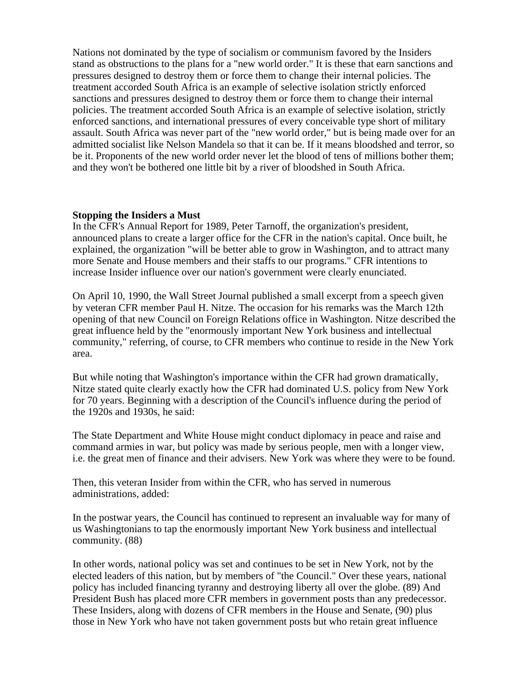Nations not dominated by the type of socialism or communism favored by the Insiders stand as obstructions to the plans for a "new world order." It is these that earn sanctions and pressures designed to destroy them or force them to change their internal policies. The treatment accorded South Africa is an example of selective isolation strictly enforced sanctions and pressures designed to destroy them or force them to change their internal policies. The treatment accorded South Africa is an example of selective isolation, strictly enforced sanctions, and international pressures of every conceivable type short of military assault. South Africa was never part of the "new world order," but is being made over for an admitted socialist like Nelson Mandela so that it can be. If it means bloodshed and terror, so be it. Proponents of the new world order never let the blood of tens of millions bother them; and they won't be bothered one little bit by a river of bloodshed in South Africa.

## **Stopping the Insiders a Must**

In the CFR's Annual Report for 1989, Peter Tarnoff, the organization's president, announced plans to create a larger office for the CFR in the nation's capital. Once built, he explained, the organization "will be better able to grow in Washington, and to attract many more Senate and House members and their staffs to our programs." CFR intentions to increase Insider influence over our nation's government were clearly enunciated.

On April 10, 1990, the Wall Street Journal published a small excerpt from a speech given by veteran CFR member Paul H. Nitze. The occasion for his remarks was the March 12th opening of that new Council on Foreign Relations office in Washington. Nitze described the great influence held by the "enormously important New York business and intellectual community," referring, of course, to CFR members who continue to reside in the New York area.

But while noting that Washington's importance within the CFR had grown dramatically, Nitze stated quite clearly exactly how the CFR had dominated U.S. policy from New York for 70 years. Beginning with a description of the Council's influence during the period of the 1920s and 1930s, he said:

The State Department and White House might conduct diplomacy in peace and raise and command armies in war, but policy was made by serious people, men with a longer view, i.e. the great men of finance and their advisers. New York was where they were to be found.

Then, this veteran Insider from within the CFR, who has served in numerous administrations, added:

In the postwar years, the Council has continued to represent an invaluable way for many of us Washingtonians to tap the enormously important New York business and intellectual community. (88)

In other words, national policy was set and continues to be set in New York, not by the elected leaders of this nation, but by members of "the Council." Over these years, national policy has included financing tyranny and destroying liberty all over the globe. (89) And President Bush has placed more CFR members in government posts than any predecessor. These Insiders, along with dozens of CFR members in the House and Senate, (90) plus those in New York who have not taken government posts but who retain great influence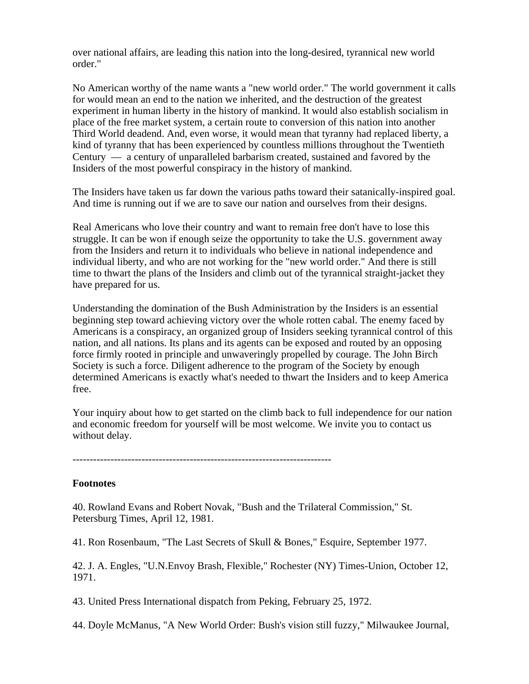over national affairs, are leading this nation into the long-desired, tyrannical new world order."

No American worthy of the name wants a "new world order." The world government it calls for would mean an end to the nation we inherited, and the destruction of the greatest experiment in human liberty in the history of mankind. It would also establish socialism in place of the free market system, a certain route to conversion of this nation into another Third World deadend. And, even worse, it would mean that tyranny had replaced liberty, a kind of tyranny that has been experienced by countless millions throughout the Twentieth Century — a century of unparalleled barbarism created, sustained and favored by the Insiders of the most powerful conspiracy in the history of mankind.

The Insiders have taken us far down the various paths toward their satanically-inspired goal. And time is running out if we are to save our nation and ourselves from their designs.

Real Americans who love their country and want to remain free don't have to lose this struggle. It can be won if enough seize the opportunity to take the U.S. government away from the Insiders and return it to individuals who believe in national independence and individual liberty, and who are not working for the "new world order." And there is still time to thwart the plans of the Insiders and climb out of the tyrannical straight-jacket they have prepared for us.

Understanding the domination of the Bush Administration by the Insiders is an essential beginning step toward achieving victory over the whole rotten cabal. The enemy faced by Americans is a conspiracy, an organized group of Insiders seeking tyrannical control of this nation, and all nations. Its plans and its agents can be exposed and routed by an opposing force firmly rooted in principle and unwaveringly propelled by courage. The John Birch Society is such a force. Diligent adherence to the program of the Society by enough determined Americans is exactly what's needed to thwart the Insiders and to keep America free.

Your inquiry about how to get started on the climb back to full independence for our nation and economic freedom for yourself will be most welcome. We invite you to contact us without delay.

---------------------------------------------------------------------------

## **Footnotes**

40. Rowland Evans and Robert Novak, "Bush and the Trilateral Commission," St. Petersburg Times, April 12, 1981.

41. Ron Rosenbaum, "The Last Secrets of Skull & Bones," Esquire, September 1977.

42. J. A. Engles, "U.N.Envoy Brash, Flexible," Rochester (NY) Times-Union, October 12, 1971.

43. United Press International dispatch from Peking, February 25, 1972.

44. Doyle McManus, "A New World Order: Bush's vision still fuzzy," Milwaukee Journal,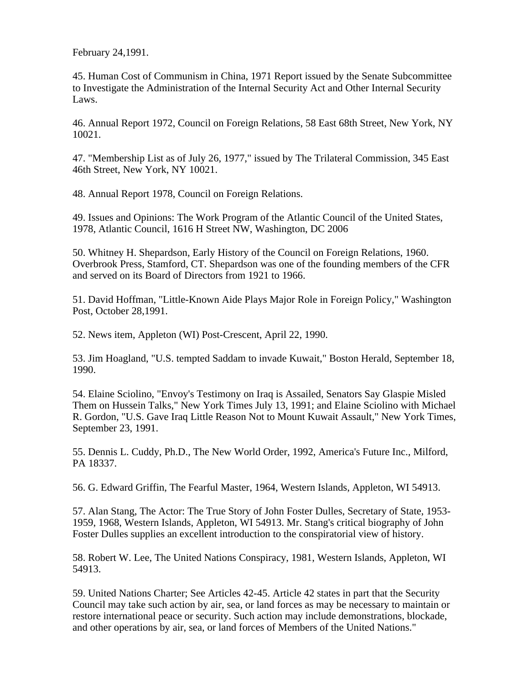February 24,1991.

45. Human Cost of Communism in China, 1971 Report issued by the Senate Subcommittee to Investigate the Administration of the Internal Security Act and Other Internal Security Laws.

46. Annual Report 1972, Council on Foreign Relations, 58 East 68th Street, New York, NY 10021.

47. "Membership List as of July 26, 1977," issued by The Trilateral Commission, 345 East 46th Street, New York, NY 10021.

48. Annual Report 1978, Council on Foreign Relations.

49. Issues and Opinions: The Work Program of the Atlantic Council of the United States, 1978, Atlantic Council, 1616 H Street NW, Washington, DC 2006

50. Whitney H. Shepardson, Early History of the Council on Foreign Relations, 1960. Overbrook Press, Stamford, CT. Shepardson was one of the founding members of the CFR and served on its Board of Directors from 1921 to 1966.

51. David Hoffman, "Little-Known Aide Plays Major Role in Foreign Policy," Washington Post, October 28,1991.

52. News item, Appleton (WI) Post-Crescent, April 22, 1990.

53. Jim Hoagland, "U.S. tempted Saddam to invade Kuwait," Boston Herald, September 18, 1990.

54. Elaine Sciolino, "Envoy's Testimony on Iraq is Assailed, Senators Say Glaspie Misled Them on Hussein Talks," New York Times July 13, 1991; and Elaine Sciolino with Michael R. Gordon, "U.S. Gave Iraq Little Reason Not to Mount Kuwait Assault," New York Times, September 23, 1991.

55. Dennis L. Cuddy, Ph.D., The New World Order, 1992, America's Future Inc., Milford, PA 18337.

56. G. Edward Griffin, The Fearful Master, 1964, Western Islands, Appleton, WI 54913.

57. Alan Stang, The Actor: The True Story of John Foster Dulles, Secretary of State, 1953- 1959, 1968, Western Islands, Appleton, WI 54913. Mr. Stang's critical biography of John Foster Dulles supplies an excellent introduction to the conspiratorial view of history.

58. Robert W. Lee, The United Nations Conspiracy, 1981, Western Islands, Appleton, WI 54913.

59. United Nations Charter; See Articles 42-45. Article 42 states in part that the Security Council may take such action by air, sea, or land forces as may be necessary to maintain or restore international peace or security. Such action may include demonstrations, blockade, and other operations by air, sea, or land forces of Members of the United Nations."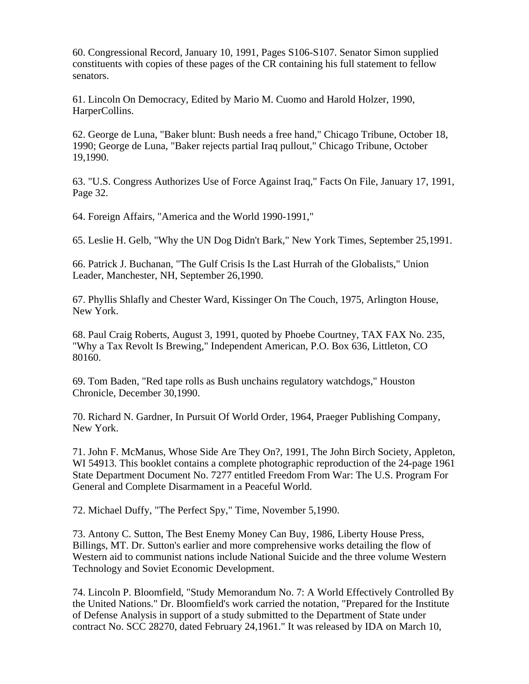60. Congressional Record, January 10, 1991, Pages S106-S107. Senator Simon supplied constituents with copies of these pages of the CR containing his full statement to fellow senators.

61. Lincoln On Democracy, Edited by Mario M. Cuomo and Harold Holzer, 1990, HarperCollins.

62. George de Luna, "Baker blunt: Bush needs a free hand," Chicago Tribune, October 18, 1990; George de Luna, "Baker rejects partial Iraq pullout," Chicago Tribune, October 19,1990.

63. "U.S. Congress Authorizes Use of Force Against Iraq," Facts On File, January 17, 1991, Page 32.

64. Foreign Affairs, "America and the World 1990-1991,"

65. Leslie H. Gelb, "Why the UN Dog Didn't Bark," New York Times, September 25,1991.

66. Patrick J. Buchanan, "The Gulf Crisis Is the Last Hurrah of the Globalists," Union Leader, Manchester, NH, September 26,1990.

67. Phyllis Shlafly and Chester Ward, Kissinger On The Couch, 1975, Arlington House, New York.

68. Paul Craig Roberts, August 3, 1991, quoted by Phoebe Courtney, TAX FAX No. 235, "Why a Tax Revolt Is Brewing," Independent American, P.O. Box 636, Littleton, CO 80160.

69. Tom Baden, "Red tape rolls as Bush unchains regulatory watchdogs," Houston Chronicle, December 30,1990.

70. Richard N. Gardner, In Pursuit Of World Order, 1964, Praeger Publishing Company, New York.

71. John F. McManus, Whose Side Are They On?, 1991, The John Birch Society, Appleton, WI 54913. This booklet contains a complete photographic reproduction of the 24-page 1961 State Department Document No. 7277 entitled Freedom From War: The U.S. Program For General and Complete Disarmament in a Peaceful World.

72. Michael Duffy, "The Perfect Spy," Time, November 5,1990.

73. Antony C. Sutton, The Best Enemy Money Can Buy, 1986, Liberty House Press, Billings, MT. Dr. Sutton's earlier and more comprehensive works detailing the flow of Western aid to communist nations include National Suicide and the three volume Western Technology and Soviet Economic Development.

74. Lincoln P. Bloomfield, "Study Memorandum No. 7: A World Effectively Controlled By the United Nations." Dr. Bloomfield's work carried the notation, "Prepared for the Institute of Defense Analysis in support of a study submitted to the Department of State under contract No. SCC 28270, dated February 24,1961." It was released by IDA on March 10,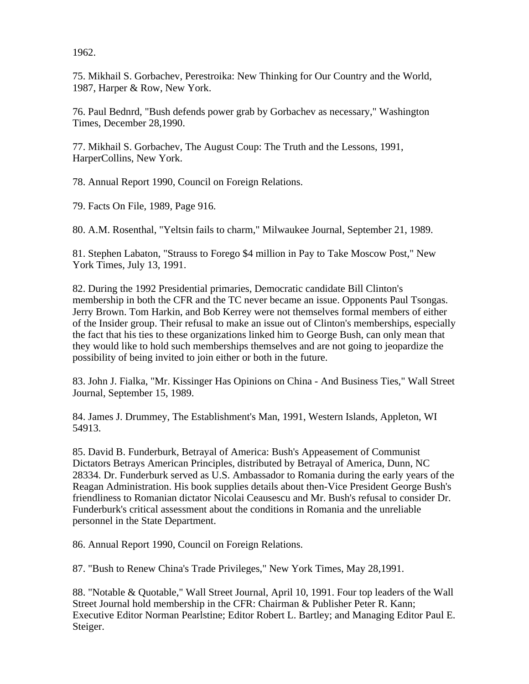1962.

75. Mikhail S. Gorbachev, Perestroika: New Thinking for Our Country and the World, 1987, Harper & Row, New York.

76. Paul Bednrd, "Bush defends power grab by Gorbachev as necessary," Washington Times, December 28,1990.

77. Mikhail S. Gorbachev, The August Coup: The Truth and the Lessons, 1991, HarperCollins, New York.

78. Annual Report 1990, Council on Foreign Relations.

79. Facts On File, 1989, Page 916.

80. A.M. Rosenthal, "Yeltsin fails to charm," Milwaukee Journal, September 21, 1989.

81. Stephen Labaton, "Strauss to Forego \$4 million in Pay to Take Moscow Post," New York Times, July 13, 1991.

82. During the 1992 Presidential primaries, Democratic candidate Bill Clinton's membership in both the CFR and the TC never became an issue. Opponents Paul Tsongas. Jerry Brown. Tom Harkin, and Bob Kerrey were not themselves formal members of either of the Insider group. Their refusal to make an issue out of Clinton's memberships, especially the fact that his ties to these organizations linked him to George Bush, can only mean that they would like to hold such memberships themselves and are not going to jeopardize the possibility of being invited to join either or both in the future.

83. John J. Fialka, "Mr. Kissinger Has Opinions on China - And Business Ties," Wall Street Journal, September 15, 1989.

84. James J. Drummey, The Establishment's Man, 1991, Western Islands, Appleton, WI 54913.

85. David B. Funderburk, Betrayal of America: Bush's Appeasement of Communist Dictators Betrays American Principles, distributed by Betrayal of America, Dunn, NC 28334. Dr. Funderburk served as U.S. Ambassador to Romania during the early years of the Reagan Administration. His book supplies details about then-Vice President George Bush's friendliness to Romanian dictator Nicolai Ceausescu and Mr. Bush's refusal to consider Dr. Funderburk's critical assessment about the conditions in Romania and the unreliable personnel in the State Department.

86. Annual Report 1990, Council on Foreign Relations.

87. "Bush to Renew China's Trade Privileges," New York Times, May 28,1991.

88. "Notable & Quotable," Wall Street Journal, April 10, 1991. Four top leaders of the Wall Street Journal hold membership in the CFR: Chairman & Publisher Peter R. Kann; Executive Editor Norman Pearlstine; Editor Robert L. Bartley; and Managing Editor Paul E. Steiger.